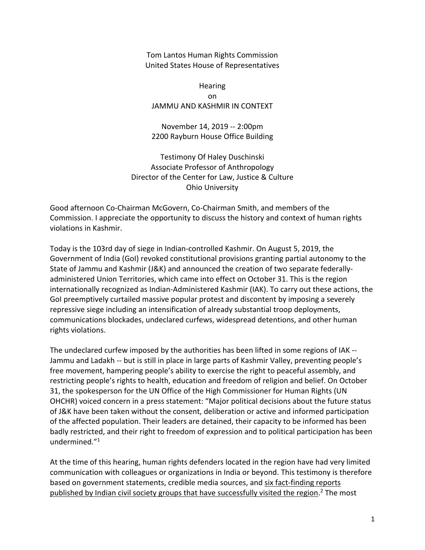Tom Lantos Human Rights Commission United States House of Representatives

**Hearing** on JAMMU AND KASHMIR IN CONTEXT

November 14, 2019 -- 2:00pm 2200 Rayburn House Office Building

Testimony Of Haley Duschinski Associate Professor of Anthropology Director of the Center for Law, Justice & Culture Ohio University

Good afternoon Co-Chairman McGovern, Co-Chairman Smith, and members of the Commission. I appreciate the opportunity to discuss the history and context of human rights violations in Kashmir.

Today is the 103rd day of siege in Indian-controlled Kashmir. On August 5, 2019, the Government of India (GoI) revoked constitutional provisions granting partial autonomy to the State of Jammu and Kashmir (J&K) and announced the creation of two separate federallyadministered Union Territories, which came into effect on October 31. This is the region internationally recognized as Indian-Administered Kashmir (IAK). To carry out these actions, the GoI preemptively curtailed massive popular protest and discontent by imposing a severely repressive siege including an intensification of already substantial troop deployments, communications blockades, undeclared curfews, widespread detentions, and other human rights violations.

The undeclared curfew imposed by the authorities has been lifted in some regions of IAK -- Jammu and Ladakh -- but is still in place in large parts of Kashmir Valley, preventing people's free movement, hampering people's ability to exercise the right to peaceful assembly, and restricting people's rights to health, education and freedom of religion and belief. On October 31, the spokesperson for the UN Office of the High Commissioner for Human Rights (UN OHCHR) voiced concern in a press statement: "Major political decisions about the future status of J&K have been taken without the consent, deliberation or active and informed participation of the affected population. Their leaders are detained, their capacity to be informed has been badly restricted, and their right to freedom of expression and to political participation has been undermined."<sup>1</sup>

At the time of this hearing, human rights defenders located in the region have had very limited communication with colleagues or organizations in India or beyond. This testimony is therefore based on government statements, credible media sources, and six fact-finding reports published by Indian civil society groups that have successfully visited the region.<sup>2</sup> The most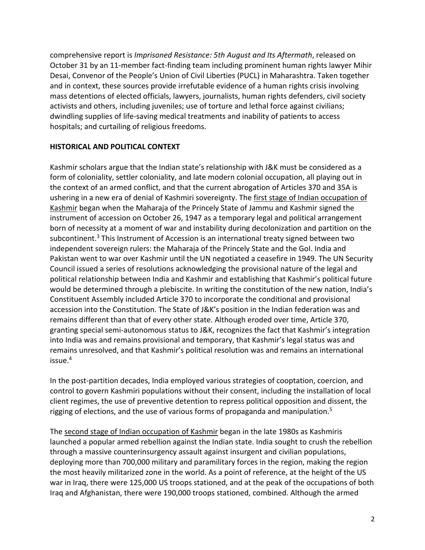comprehensive report is *Imprisoned Resistance: 5th August and Its Aftermath*, released on October 31 by an 11-member fact-finding team including prominent human rights lawyer Mihir Desai, Convenor of the People's Union of Civil Liberties (PUCL) in Maharashtra. Taken together and in context, these sources provide irrefutable evidence of a human rights crisis involving mass detentions of elected officials, lawyers, journalists, human rights defenders, civil society activists and others, including juveniles; use of torture and lethal force against civilians; dwindling supplies of life-saving medical treatments and inability of patients to access hospitals; and curtailing of religious freedoms.

# **HISTORICAL AND POLITICAL CONTEXT**

Kashmir scholars argue that the Indian state's relationship with J&K must be considered as a form of coloniality, settler coloniality, and late modern colonial occupation, all playing out in the context of an armed conflict, and that the current abrogation of Articles 370 and 35A is ushering in a new era of denial of Kashmiri sovereignty. The first stage of Indian occupation of Kashmir began when the Maharaja of the Princely State of Jammu and Kashmir signed the instrument of accession on October 26, 1947 as a temporary legal and political arrangement born of necessity at a moment of war and instability during decolonization and partition on the subcontinent.<sup>3</sup> This Instrument of Accession is an international treaty signed between two independent sovereign rulers: the Maharaja of the Princely State and the GoI. India and Pakistan went to war over Kashmir until the UN negotiated a ceasefire in 1949. The UN Security Council issued a series of resolutions acknowledging the provisional nature of the legal and political relationship between India and Kashmir and establishing that Kashmir's political future would be determined through a plebiscite. In writing the constitution of the new nation, India's Constituent Assembly included Article 370 to incorporate the conditional and provisional accession into the Constitution. The State of J&K's position in the Indian federation was and remains different than that of every other state. Although eroded over time, Article 370, granting special semi-autonomous status to J&K, recognizes the fact that Kashmir's integration into India was and remains provisional and temporary, that Kashmir's legal status was and remains unresolved, and that Kashmir's political resolution was and remains an international issue.<sup>4</sup>

In the post-partition decades, India employed various strategies of cooptation, coercion, and control to govern Kashmiri populations without their consent, including the installation of local client regimes, the use of preventive detention to repress political opposition and dissent, the rigging of elections, and the use of various forms of propaganda and manipulation.<sup>5</sup>

The second stage of Indian occupation of Kashmir began in the late 1980s as Kashmiris launched a popular armed rebellion against the Indian state. India sought to crush the rebellion through a massive counterinsurgency assault against insurgent and civilian populations, deploying more than 700,000 military and paramilitary forces in the region, making the region the most heavily militarized zone in the world. As a point of reference, at the height of the US war in Iraq, there were 125,000 US troops stationed, and at the peak of the occupations of both Iraq and Afghanistan, there were 190,000 troops stationed, combined. Although the armed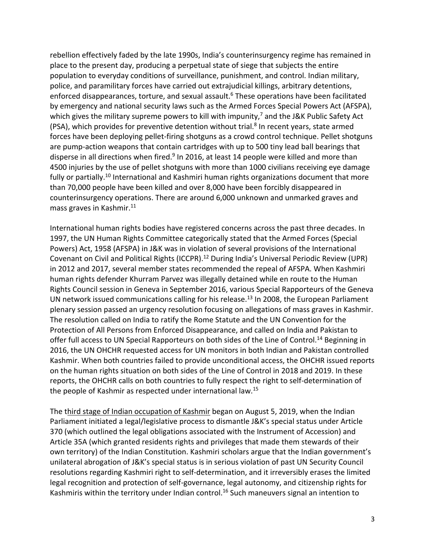rebellion effectively faded by the late 1990s, India's counterinsurgency regime has remained in place to the present day, producing a perpetual state of siege that subjects the entire population to everyday conditions of surveillance, punishment, and control. Indian military, police, and paramilitary forces have carried out extrajudicial killings, arbitrary detentions, enforced disappearances, torture, and sexual assault.<sup>6</sup> These operations have been facilitated by emergency and national security laws such as the Armed Forces Special Powers Act (AFSPA), which gives the military supreme powers to kill with impunity,<sup>7</sup> and the J&K Public Safety Act (PSA), which provides for preventive detention without trial.<sup>8</sup> In recent years, state armed forces have been deploying pellet-firing shotguns as a crowd control technique. Pellet shotguns are pump-action weapons that contain cartridges with up to 500 tiny lead ball bearings that disperse in all directions when fired.<sup>9</sup> In 2016, at least 14 people were killed and more than 4500 injuries by the use of pellet shotguns with more than 1000 civilians receiving eye damage fully or partially.<sup>10</sup> International and Kashmiri human rights organizations document that more than 70,000 people have been killed and over 8,000 have been forcibly disappeared in counterinsurgency operations. There are around 6,000 unknown and unmarked graves and mass graves in Kashmir.<sup>11</sup>

International human rights bodies have registered concerns across the past three decades. In 1997, the UN Human Rights Committee categorically stated that the Armed Forces (Special Powers) Act, 1958 (AFSPA) in J&K was in violation of several provisions of the International Covenant on Civil and Political Rights (ICCPR).<sup>12</sup> During India's Universal Periodic Review (UPR) in 2012 and 2017, several member states recommended the repeal of AFSPA. When Kashmiri human rights defender Khurram Parvez was illegally detained while en route to the Human Rights Council session in Geneva in September 2016, various Special Rapporteurs of the Geneva UN network issued communications calling for his release.<sup>13</sup> In 2008, the European Parliament plenary session passed an urgency resolution focusing on allegations of mass graves in Kashmir. The resolution called on India to ratify the Rome Statute and the UN Convention for the Protection of All Persons from Enforced Disappearance, and called on India and Pakistan to offer full access to UN Special Rapporteurs on both sides of the Line of Control.<sup>14</sup> Beginning in 2016, the UN OHCHR requested access for UN monitors in both Indian and Pakistan controlled Kashmir. When both countries failed to provide unconditional access, the OHCHR issued reports on the human rights situation on both sides of the Line of Control in 2018 and 2019. In these reports, the OHCHR calls on both countries to fully respect the right to self-determination of the people of Kashmir as respected under international law.<sup>15</sup>

The third stage of Indian occupation of Kashmir began on August 5, 2019, when the Indian Parliament initiated a legal/legislative process to dismantle J&K's special status under Article 370 (which outlined the legal obligations associated with the Instrument of Accession) and Article 35A (which granted residents rights and privileges that made them stewards of their own territory) of the Indian Constitution. Kashmiri scholars argue that the Indian government's unilateral abrogation of J&K's special status is in serious violation of past UN Security Council resolutions regarding Kashmiri right to self-determination, and it irreversibly erases the limited legal recognition and protection of self-governance, legal autonomy, and citizenship rights for Kashmiris within the territory under Indian control.<sup>16</sup> Such maneuvers signal an intention to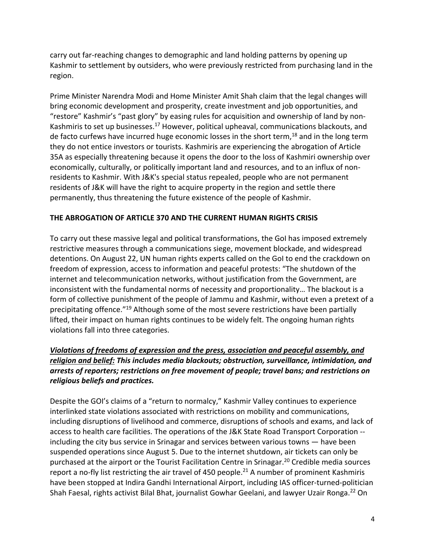carry out far-reaching changes to demographic and land holding patterns by opening up Kashmir to settlement by outsiders, who were previously restricted from purchasing land in the region.

Prime Minister Narendra Modi and Home Minister Amit Shah claim that the legal changes will bring economic development and prosperity, create investment and job opportunities, and "restore" Kashmir's "past glory" by easing rules for acquisition and ownership of land by non-Kashmiris to set up businesses.<sup>17</sup> However, political upheaval, communications blackouts, and de facto curfews have incurred huge economic losses in the short term,<sup>18</sup> and in the long term they do not entice investors or tourists. Kashmiris are experiencing the abrogation of Article 35A as especially threatening because it opens the door to the loss of Kashmiri ownership over economically, culturally, or politically important land and resources, and to an influx of nonresidents to Kashmir. With J&K's special status repealed, people who are not permanent residents of J&K will have the right to acquire property in the region and settle there permanently, thus threatening the future existence of the people of Kashmir.

# **THE ABROGATION OF ARTICLE 370 AND THE CURRENT HUMAN RIGHTS CRISIS**

To carry out these massive legal and political transformations, the GoI has imposed extremely restrictive measures through a communications siege, movement blockade, and widespread detentions. On August 22, UN human rights experts called on the GoI to end the crackdown on freedom of expression, access to information and peaceful protests: "The shutdown of the internet and telecommunication networks, without justification from the Government, are inconsistent with the fundamental norms of necessity and proportionality… The blackout is a form of collective punishment of the people of Jammu and Kashmir, without even a pretext of a precipitating offence."<sup>19</sup> Although some of the most severe restrictions have been partially lifted, their impact on human rights continues to be widely felt. The ongoing human rights violations fall into three categories.

# *Violations of freedoms of expression and the press, association and peaceful assembly, and religion and belief: This includes media blackouts; obstruction, surveillance, intimidation, and arrests of reporters; restrictions on free movement of people; travel bans; and restrictions on religious beliefs and practices.*

Despite the GOI's claims of a "return to normalcy," Kashmir Valley continues to experience interlinked state violations associated with restrictions on mobility and communications, including disruptions of livelihood and commerce, disruptions of schools and exams, and lack of access to health care facilities. The operations of the J&K State Road Transport Corporation - including the city bus service in Srinagar and services between various towns — have been suspended operations since August 5. Due to the internet shutdown, air tickets can only be purchased at the airport or the Tourist Facilitation Centre in Srinagar.<sup>20</sup> Credible media sources report a no-fly list restricting the air travel of 450 people.<sup>21</sup> A number of prominent Kashmiris have been stopped at Indira Gandhi International Airport, including IAS officer-turned-politician Shah Faesal, rights activist Bilal Bhat, journalist Gowhar Geelani, and lawyer Uzair Ronga.<sup>22</sup> On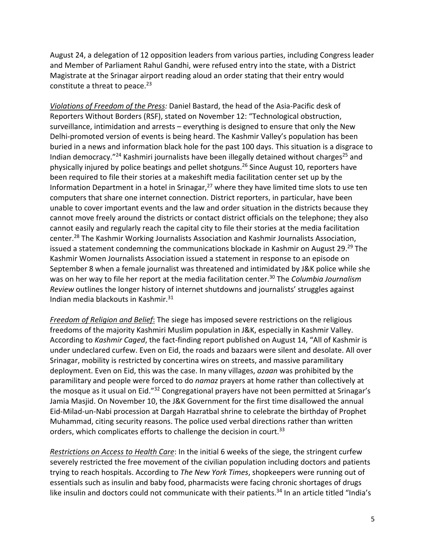August 24, a delegation of 12 opposition leaders from various parties, including Congress leader and Member of Parliament Rahul Gandhi, were refused entry into the state, with a District Magistrate at the Srinagar airport reading aloud an order stating that their entry would constitute a threat to peace. $^{23}$ 

*Violations of Freedom of the Press:* Daniel Bastard, the head of the Asia-Pacific desk of Reporters Without Borders (RSF), stated on November 12: "Technological obstruction, surveillance, intimidation and arrests – everything is designed to ensure that only the New Delhi-promoted version of events is being heard. The Kashmir Valley's population has been buried in a news and information black hole for the past 100 days. This situation is a disgrace to Indian democracy."<sup>24</sup> Kashmiri journalists have been illegally detained without charges<sup>25</sup> and physically injured by police beatings and pellet shotguns.<sup>26</sup> Since August 10, reporters have been required to file their stories at a makeshift media facilitation center set up by the Information Department in a hotel in Srinagar, $27$  where they have limited time slots to use ten computers that share one internet connection. District reporters, in particular, have been unable to cover important events and the law and order situation in the districts because they cannot move freely around the districts or contact district officials on the telephone; they also cannot easily and regularly reach the capital city to file their stories at the media facilitation center.<sup>28</sup> The Kashmir Working Journalists Association and Kashmir Journalists Association, issued a statement condemning the communications blockade in Kashmir on August 29.<sup>29</sup> The Kashmir Women Journalists Association issued a statement in response to an episode on September 8 when a female journalist was threatened and intimidated by J&K police while she was on her way to file her report at the media facilitation center.<sup>30</sup> The *Columbia Journalism Review* outlines the longer history of internet shutdowns and journalists' struggles against Indian media blackouts in Kashmir. $31$ 

*Freedom of Religion and Belief*: The siege has imposed severe restrictions on the religious freedoms of the majority Kashmiri Muslim population in J&K, especially in Kashmir Valley. According to *Kashmir Caged*, the fact-finding report published on August 14, "All of Kashmir is under undeclared curfew. Even on Eid, the roads and bazaars were silent and desolate. All over Srinagar, mobility is restricted by concertina wires on streets, and massive paramilitary deployment. Even on Eid, this was the case. In many villages, *azaan* was prohibited by the paramilitary and people were forced to do *namaz* prayers at home rather than collectively at the mosque as it usual on Eid."<sup>32</sup> Congregational prayers have not been permitted at Srinagar's Jamia Masjid. On November 10, the J&K Government for the first time disallowed the annual Eid-Milad-un-Nabi procession at Dargah Hazratbal shrine to celebrate the birthday of Prophet Muhammad, citing security reasons. The police used verbal directions rather than written orders, which complicates efforts to challenge the decision in court.<sup>33</sup>

*Restrictions on Access to Health Care*: In the initial 6 weeks of the siege, the stringent curfew severely restricted the free movement of the civilian population including doctors and patients trying to reach hospitals. According to *The New York Times*, shopkeepers were running out of essentials such as insulin and baby food, pharmacists were facing chronic shortages of drugs like insulin and doctors could not communicate with their patients.<sup>34</sup> In an article titled "India's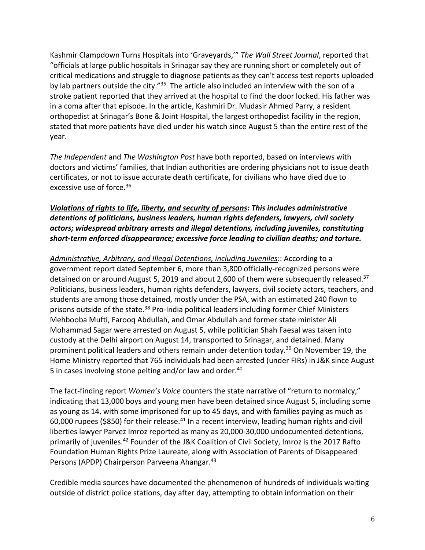Kashmir Clampdown Turns Hospitals into 'Graveyards,'" *The Wall Street Journal*, reported that "officials at large public hospitals in Srinagar say they are running short or completely out of critical medications and struggle to diagnose patients as they can't access test reports uploaded by lab partners outside the city."<sup>35</sup> The article also included an interview with the son of a stroke patient reported that they arrived at the hospital to find the door locked. His father was in a coma after that episode. In the article, Kashmiri Dr. Mudasir Ahmed Parry, a resident orthopedist at Srinagar's Bone & Joint Hospital, the largest orthopedist facility in the region, stated that more patients have died under his watch since August 5 than the entire rest of the year.

*The Independent* and *The Washington Post* have both reported, based on interviews with doctors and victims' families, that Indian authorities are ordering physicians not to issue death certificates, or not to issue accurate death certificate, for civilians who have died due to excessive use of force.<sup>36</sup>

# *Violations of rights to life, liberty, and security of persons: This includes administrative detentions of politicians, business leaders, human rights defenders, lawyers, civil society actors; widespread arbitrary arrests and illegal detentions, including juveniles, constituting short-term enforced disappearance; excessive force leading to civilian deaths; and torture.*

*Administrative, Arbitrary, and Illegal Detentions, including Juveniles*:: According to a government report dated September 6, more than 3,800 officially-recognized persons were detained on or around August 5, 2019 and about 2,600 of them were subsequently released.<sup>37</sup> Politicians, business leaders, human rights defenders, lawyers, civil society actors, teachers, and students are among those detained, mostly under the PSA, with an estimated 240 flown to prisons outside of the state.<sup>38</sup> Pro-India political leaders including former Chief Ministers Mehbooba Mufti, Farooq Abdullah, and Omar Abdullah and former state minister Ali Mohammad Sagar were arrested on August 5, while politician Shah Faesal was taken into custody at the Delhi airport on August 14, transported to Srinagar, and detained. Many prominent political leaders and others remain under detention today.<sup>39</sup> On November 19, the Home Ministry reported that 765 individuals had been arrested (under FIRs) in J&K since August 5 in cases involving stone pelting and/or law and order.<sup>40</sup>

The fact-finding report *Women's Voice* counters the state narrative of "return to normalcy," indicating that 13,000 boys and young men have been detained since August 5, including some as young as 14, with some imprisoned for up to 45 days, and with families paying as much as 60,000 rupees (\$850) for their release.<sup>41</sup> In a recent interview, leading human rights and civil liberties lawyer Parvez Imroz reported as many as 20,000-30,000 undocumented detentions, primarily of juveniles.<sup>42</sup> Founder of the J&K Coalition of Civil Society, Imroz is the 2017 Rafto Foundation Human Rights Prize Laureate, along with Association of Parents of Disappeared Persons (APDP) Chairperson Parveena Ahangar.<sup>43</sup>

Credible media sources have documented the phenomenon of hundreds of individuals waiting outside of district police stations, day after day, attempting to obtain information on their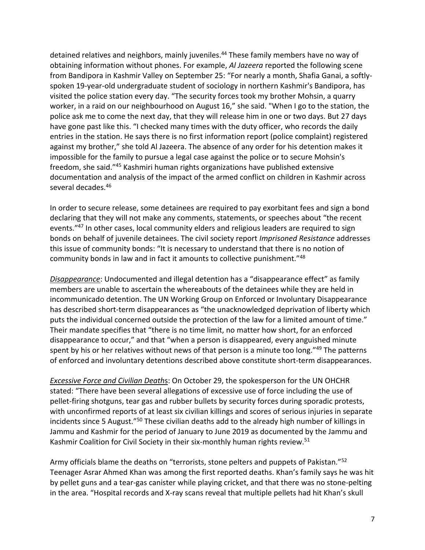detained relatives and neighbors, mainly juveniles.<sup>44</sup> These family members have no way of obtaining information without phones. For example, *Al Jazeera* reported the following scene from Bandipora in Kashmir Valley on September 25: "For nearly a month, Shafia Ganai, a softlyspoken 19-year-old undergraduate student of sociology in northern Kashmir's Bandipora, has visited the police station every day. "The security forces took my brother Mohsin, a quarry worker, in a raid on our neighbourhood on August 16," she said. "When I go to the station, the police ask me to come the next day, that they will release him in one or two days. But 27 days have gone past like this. "I checked many times with the duty officer, who records the daily entries in the station. He says there is no first information report (police complaint) registered against my brother," she told Al Jazeera. The absence of any order for his detention makes it impossible for the family to pursue a legal case against the police or to secure Mohsin's freedom, she said."<sup>45</sup> Kashmiri human rights organizations have published extensive documentation and analysis of the impact of the armed conflict on children in Kashmir across several decades.<sup>46</sup>

In order to secure release, some detainees are required to pay exorbitant fees and sign a bond declaring that they will not make any comments, statements, or speeches about "the recent events."<sup>47</sup> In other cases, local community elders and religious leaders are required to sign bonds on behalf of juvenile detainees. The civil society report *Imprisoned Resistance* addresses this issue of community bonds: "It is necessary to understand that there is no notion of community bonds in law and in fact it amounts to collective punishment."<sup>48</sup>

*Disappearance*: Undocumented and illegal detention has a "disappearance effect" as family members are unable to ascertain the whereabouts of the detainees while they are held in incommunicado detention. The UN Working Group on Enforced or Involuntary Disappearance has described short-term disappearances as "the unacknowledged deprivation of liberty which puts the individual concerned outside the protection of the law for a limited amount of time." Their mandate specifies that "there is no time limit, no matter how short, for an enforced disappearance to occur," and that "when a person is disappeared, every anguished minute spent by his or her relatives without news of that person is a minute too long."49 The patterns of enforced and involuntary detentions described above constitute short-term disappearances.

*Excessive Force and Civilian Death*s: On October 29, the spokesperson for the UN OHCHR stated: "There have been several allegations of excessive use of force including the use of pellet-firing shotguns, tear gas and rubber bullets by security forces during sporadic protests, with unconfirmed reports of at least six civilian killings and scores of serious injuries in separate incidents since 5 August."<sup>50</sup> These civilian deaths add to the already high number of killings in Jammu and Kashmir for the period of January to June 2019 as documented by the Jammu and Kashmir Coalition for Civil Society in their six-monthly human rights review.<sup>51</sup>

Army officials blame the deaths on "terrorists, stone pelters and puppets of Pakistan."<sup>52</sup> Teenager Asrar Ahmed Khan was among the first reported deaths. Khan's family says he was hit by pellet guns and a tear-gas canister while playing cricket, and that there was no stone-pelting in the area. "Hospital records and X-ray scans reveal that multiple pellets had hit Khan's skull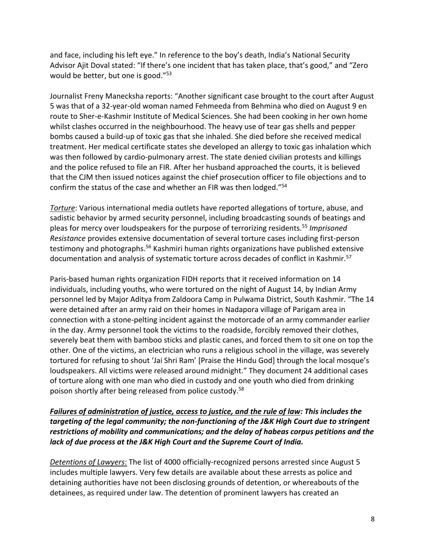and face, including his left eye." In reference to the boy's death, India's National Security Advisor Ajit Doval stated: "If there's one incident that has taken place, that's good," and "Zero would be better, but one is good."<sup>53</sup>

Journalist Freny Manecksha reports: "Another significant case brought to the court after August 5 was that of a 32-year-old woman named Fehmeeda from Behmina who died on August 9 en route to Sher-e-Kashmir Institute of Medical Sciences. She had been cooking in her own home whilst clashes occurred in the neighbourhood. The heavy use of tear gas shells and pepper bombs caused a build-up of toxic gas that she inhaled. She died before she received medical treatment. Her medical certificate states she developed an allergy to toxic gas inhalation which was then followed by cardio-pulmonary arrest. The state denied civilian protests and killings and the police refused to file an FIR. After her husband approached the courts, it is believed that the CJM then issued notices against the chief prosecution officer to file objections and to confirm the status of the case and whether an FIR was then lodged."<sup>54</sup>

*Torture*: Various international media outlets have reported allegations of torture, abuse, and sadistic behavior by armed security personnel, including broadcasting sounds of beatings and pleas for mercy over loudspeakers for the purpose of terrorizing residents.<sup>55</sup> *Imprisoned Resistance* provides extensive documentation of several torture cases including first-person testimony and photographs.<sup>56</sup> Kashmiri human rights organizations have published extensive documentation and analysis of systematic torture across decades of conflict in Kashmir.<sup>57</sup>

Paris-based human rights organization FIDH reports that it received information on 14 individuals, including youths, who were tortured on the night of August 14, by Indian Army personnel led by Major Aditya from Zaldoora Camp in Pulwama District, South Kashmir. "The 14 were detained after an army raid on their homes in Nadapora village of Parigam area in connection with a stone-pelting incident against the motorcade of an army commander earlier in the day. Army personnel took the victims to the roadside, forcibly removed their clothes, severely beat them with bamboo sticks and plastic canes, and forced them to sit one on top the other. One of the victims, an electrician who runs a religious school in the village, was severely tortured for refusing to shout 'Jai Shri Ram' [Praise the Hindu God] through the local mosque's loudspeakers. All victims were released around midnight." They document 24 additional cases of torture along with one man who died in custody and one youth who died from drinking poison shortly after being released from police custody.<sup>58</sup>

### *Failures of administration of justice, access to justice, and the rule of law: This includes the targeting of the legal community; the non-functioning of the J&K High Court due to stringent restrictions of mobility and communications; and the delay of habeas corpus petitions and the lack of due process at the J&K High Court and the Supreme Court of India.*

*Detentions of Lawyers*: The list of 4000 officially-recognized persons arrested since August 5 includes multiple lawyers. Very few details are available about these arrests as police and detaining authorities have not been disclosing grounds of detention, or whereabouts of the detainees, as required under law. The detention of prominent lawyers has created an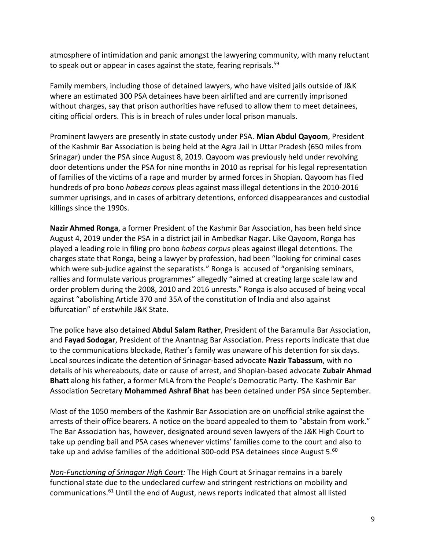atmosphere of intimidation and panic amongst the lawyering community, with many reluctant to speak out or appear in cases against the state, fearing reprisals.<sup>59</sup>

Family members, including those of detained lawyers, who have visited jails outside of J&K where an estimated 300 PSA detainees have been airlifted and are currently imprisoned without charges, say that prison authorities have refused to allow them to meet detainees, citing official orders. This is in breach of rules under local prison manuals.

Prominent lawyers are presently in state custody under PSA. **Mian Abdul Qayoom**, President of the Kashmir Bar Association is being held at the Agra Jail in Uttar Pradesh (650 miles from Srinagar) under the PSA since August 8, 2019. Qayoom was previously held under revolving door detentions under the PSA for nine months in 2010 as reprisal for his legal representation of families of the victims of a rape and murder by armed forces in Shopian. Qayoom has filed hundreds of pro bono *habeas corpus* pleas against mass illegal detentions in the 2010-2016 summer uprisings, and in cases of arbitrary detentions, enforced disappearances and custodial killings since the 1990s.

**Nazir Ahmed Ronga**, a former President of the Kashmir Bar Association, has been held since August 4, 2019 under the PSA in a district jail in Ambedkar Nagar. Like Qayoom, Ronga has played a leading role in filing pro bono *habeas corpus* pleas against illegal detentions. The charges state that Ronga, being a lawyer by profession, had been "looking for criminal cases which were sub-judice against the separatists." Ronga is accused of "organising seminars, rallies and formulate various programmes" allegedly "aimed at creating large scale law and order problem during the 2008, 2010 and 2016 unrests." Ronga is also accused of being vocal against "abolishing Article 370 and 35A of the constitution of India and also against bifurcation" of erstwhile J&K State.

The police have also detained **Abdul Salam Rather**, President of the Baramulla Bar Association, and **Fayad Sodogar**, President of the Anantnag Bar Association. Press reports indicate that due to the communications blockade, Rather's family was unaware of his detention for six days. Local sources indicate the detention of Srinagar-based advocate **Nazir Tabassum**, with no details of his whereabouts, date or cause of arrest, and Shopian-based advocate **Zubair Ahmad Bhatt** along his father, a former MLA from the People's Democratic Party. The Kashmir Bar Association Secretary **Mohammed Ashraf Bhat** has been detained under PSA since September.

Most of the 1050 members of the Kashmir Bar Association are on unofficial strike against the arrests of their office bearers. A notice on the board appealed to them to "abstain from work." The Bar Association has, however, designated around seven lawyers of the J&K High Court to take up pending bail and PSA cases whenever victims' families come to the court and also to take up and advise families of the additional 300-odd PSA detainees since August 5. $^{60}$ 

*Non-Functioning of Srinagar High Court:* The High Court at Srinagar remains in a barely functional state due to the undeclared curfew and stringent restrictions on mobility and communications.<sup>61</sup> Until the end of August, news reports indicated that almost all listed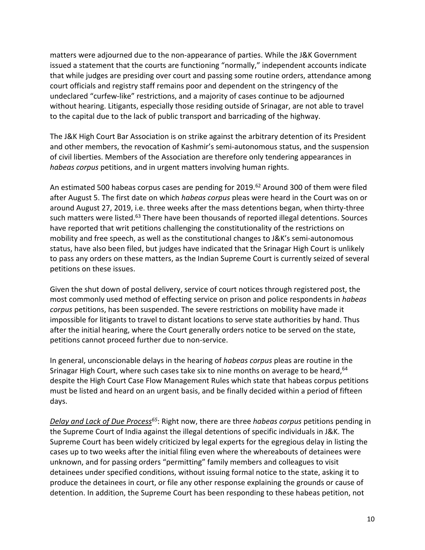matters were adjourned due to the non-appearance of parties. While the J&K Government issued a statement that the courts are functioning "normally," independent accounts indicate that while judges are presiding over court and passing some routine orders, attendance among court officials and registry staff remains poor and dependent on the stringency of the undeclared "curfew-like" restrictions, and a majority of cases continue to be adjourned without hearing. Litigants, especially those residing outside of Srinagar, are not able to travel to the capital due to the lack of public transport and barricading of the highway.

The J&K High Court Bar Association is on strike against the arbitrary detention of its President and other members, the revocation of Kashmir's semi-autonomous status, and the suspension of civil liberties. Members of the Association are therefore only tendering appearances in *habeas corpus* petitions, and in urgent matters involving human rights.

An estimated 500 habeas corpus cases are pending for 2019.<sup>62</sup> Around 300 of them were filed after August 5. The first date on which *habeas corpus* pleas were heard in the Court was on or around August 27, 2019, i.e. three weeks after the mass detentions began, when thirty-three such matters were listed.<sup>63</sup> There have been thousands of reported illegal detentions. Sources have reported that writ petitions challenging the constitutionality of the restrictions on mobility and free speech, as well as the constitutional changes to J&K's semi-autonomous status, have also been filed, but judges have indicated that the Srinagar High Court is unlikely to pass any orders on these matters, as the Indian Supreme Court is currently seized of several petitions on these issues.

Given the shut down of postal delivery, service of court notices through registered post, the most commonly used method of effecting service on prison and police respondents in *habeas corpus* petitions, has been suspended. The severe restrictions on mobility have made it impossible for litigants to travel to distant locations to serve state authorities by hand. Thus after the initial hearing, where the Court generally orders notice to be served on the state, petitions cannot proceed further due to non-service.

In general, unconscionable delays in the hearing of *habeas corpus* pleas are routine in the Srinagar High Court, where such cases take six to nine months on average to be heard, <sup>64</sup> despite the High Court Case Flow Management Rules which state that habeas corpus petitions must be listed and heard on an urgent basis, and be finally decided within a period of fifteen days.

*Delay and Lack of Due Process<sup>65</sup>*: Right now, there are three *habeas corpus* petitions pending in the Supreme Court of India against the illegal detentions of specific individuals in J&K. The Supreme Court has been widely criticized by legal experts for the egregious delay in listing the cases up to two weeks after the initial filing even where the whereabouts of detainees were unknown, and for passing orders "permitting" family members and colleagues to visit detainees under specified conditions, without issuing formal notice to the state, asking it to produce the detainees in court, or file any other response explaining the grounds or cause of detention. In addition, the Supreme Court has been responding to these habeas petition, not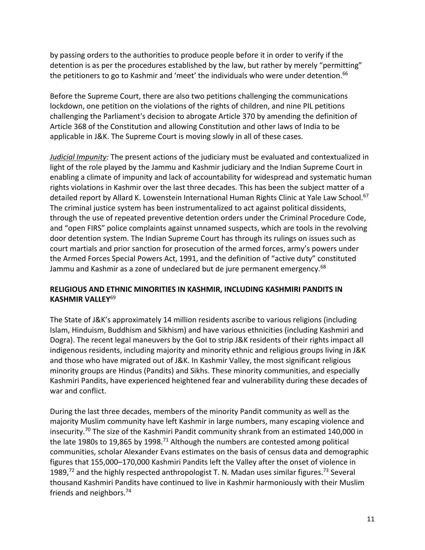by passing orders to the authorities to produce people before it in order to verify if the detention is as per the procedures established by the law, but rather by merely "permitting" the petitioners to go to Kashmir and 'meet' the individuals who were under detention.<sup>66</sup>

Before the Supreme Court, there are also two petitions challenging the communications lockdown, one petition on the violations of the rights of children, and nine PIL petitions challenging the Parliament's decision to abrogate Article 370 by amending the definition of Article 368 of the Constitution and allowing Constitution and other laws of India to be applicable in J&K. The Supreme Court is moving slowly in all of these cases.

*Judicial Impunity:* The present actions of the judiciary must be evaluated and contextualized in light of the role played by the Jammu and Kashmir judiciary and the Indian Supreme Court in enabling a climate of impunity and lack of accountability for widespread and systematic human rights violations in Kashmir over the last three decades. This has been the subject matter of a detailed report by Allard K. Lowenstein International Human Rights Clinic at Yale Law School.<sup>67</sup> The criminal justice system has been instrumentalized to act against political dissidents, through the use of repeated preventive detention orders under the Criminal Procedure Code, and "open FIRS" police complaints against unnamed suspects, which are tools in the revolving door detention system. The Indian Supreme Court has through its rulings on issues such as court martials and prior sanction for prosecution of the armed forces, army's powers under the Armed Forces Special Powers Act, 1991, and the definition of "active duty" constituted Jammu and Kashmir as a zone of undeclared but de jure permanent emergency.<sup>68</sup>

# **RELIGIOUS AND ETHNIC MINORITIES IN KASHMIR, INCLUDING KASHMIRI PANDITS IN KASHMIR VALLEY**<sup>69</sup>

The State of J&K's approximately 14 million residents ascribe to various religions (including Islam, Hinduism, Buddhism and Sikhism) and have various ethnicities (including Kashmiri and Dogra). The recent legal maneuvers by the GoI to strip J&K residents of their rights impact all indigenous residents, including majority and minority ethnic and religious groups living in J&K and those who have migrated out of J&K. In Kashmir Valley, the most significant religious minority groups are Hindus (Pandits) and Sikhs. These minority communities, and especially Kashmiri Pandits, have experienced heightened fear and vulnerability during these decades of war and conflict.

During the last three decades, members of the minority Pandit community as well as the majority Muslim community have left Kashmir in large numbers, many escaping violence and insecurity.<sup>70</sup> The size of the Kashmiri Pandit community shrank from an estimated 140,000 in the late 1980s to 19,865 by 1998.<sup>71</sup> Although the numbers are contested among political communities, scholar Alexander Evans estimates on the basis of census data and demographic figures that 155,000–170,000 Kashmiri Pandits left the Valley after the onset of violence in 1989,<sup>72</sup> and the highly respected anthropologist T. N. Madan uses similar figures.<sup>73</sup> Several thousand Kashmiri Pandits have continued to live in Kashmir harmoniously with their Muslim friends and neighbors.74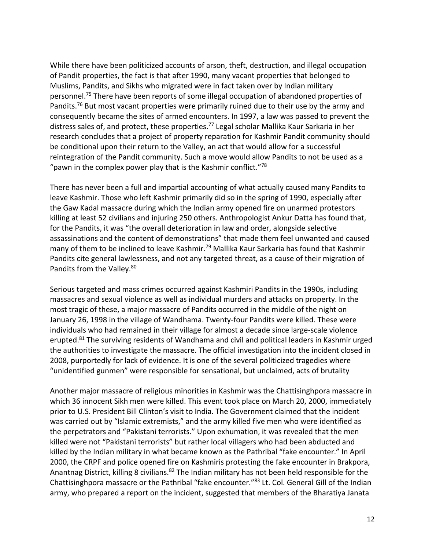While there have been politicized accounts of arson, theft, destruction, and illegal occupation of Pandit properties, the fact is that after 1990, many vacant properties that belonged to Muslims, Pandits, and Sikhs who migrated were in fact taken over by Indian military personnel.<sup>75</sup> There have been reports of some illegal occupation of abandoned properties of Pandits.<sup>76</sup> But most vacant properties were primarily ruined due to their use by the army and consequently became the sites of armed encounters. In 1997, a law was passed to prevent the distress sales of, and protect, these properties.<sup>77</sup> Legal scholar Mallika Kaur Sarkaria in her research concludes that a project of property reparation for Kashmir Pandit community should be conditional upon their return to the Valley, an act that would allow for a successful reintegration of the Pandit community. Such a move would allow Pandits to not be used as a "pawn in the complex power play that is the Kashmir conflict."<sup>78</sup>

There has never been a full and impartial accounting of what actually caused many Pandits to leave Kashmir. Those who left Kashmir primarily did so in the spring of 1990, especially after the Gaw Kadal massacre during which the Indian army opened fire on unarmed protestors killing at least 52 civilians and injuring 250 others. Anthropologist Ankur Datta has found that, for the Pandits, it was "the overall deterioration in law and order, alongside selective assassinations and the content of demonstrations" that made them feel unwanted and caused many of them to be inclined to leave Kashmir.<sup>79</sup> Mallika Kaur Sarkaria has found that Kashmir Pandits cite general lawlessness, and not any targeted threat, as a cause of their migration of Pandits from the Valley.<sup>80</sup>

Serious targeted and mass crimes occurred against Kashmiri Pandits in the 1990s, including massacres and sexual violence as well as individual murders and attacks on property. In the most tragic of these, a major massacre of Pandits occurred in the middle of the night on January 26, 1998 in the village of Wandhama. Twenty-four Pandits were killed. These were individuals who had remained in their village for almost a decade since large-scale violence erupted.<sup>81</sup> The surviving residents of Wandhama and civil and political leaders in Kashmir urged the authorities to investigate the massacre. The official investigation into the incident closed in 2008, purportedly for lack of evidence. It is one of the several politicized tragedies where "unidentified gunmen" were responsible for sensational, but unclaimed, acts of brutality

Another major massacre of religious minorities in Kashmir was the Chattisinghpora massacre in which 36 innocent Sikh men were killed. This event took place on March 20, 2000, immediately prior to U.S. President Bill Clinton's visit to India. The Government claimed that the incident was carried out by "Islamic extremists," and the army killed five men who were identified as the perpetrators and "Pakistani terrorists." Upon exhumation, it was revealed that the men killed were not "Pakistani terrorists" but rather local villagers who had been abducted and killed by the Indian military in what became known as the Pathribal "fake encounter." In April 2000, the CRPF and police opened fire on Kashmiris protesting the fake encounter in Brakpora, Anantnag District, killing 8 civilians.<sup>82</sup> The Indian military has not been held responsible for the Chattisinghpora massacre or the Pathribal "fake encounter."<sup>83</sup> Lt. Col. General Gill of the Indian army, who prepared a report on the incident, suggested that members of the Bharatiya Janata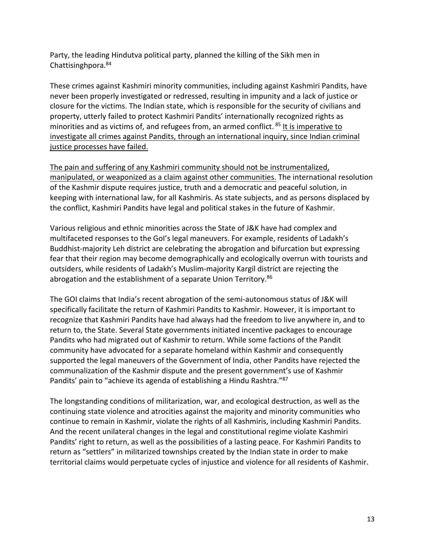Party, the leading Hindutva political party, planned the killing of the Sikh men in Chattisinghpora.<sup>84</sup>

These crimes against Kashmiri minority communities, including against Kashmiri Pandits, have never been properly investigated or redressed, resulting in impunity and a lack of justice or closure for the victims. The Indian state, which is responsible for the security of civilians and property, utterly failed to protect Kashmiri Pandits' internationally recognized rights as minorities and as victims of, and refugees from, an armed conflict. <sup>85</sup> It is imperative to investigate all crimes against Pandits, through an international inquiry, since Indian criminal justice processes have failed.

The pain and suffering of any Kashmiri community should not be instrumentalized, manipulated, or weaponized as a claim against other communities. The international resolution of the Kashmir dispute requires justice, truth and a democratic and peaceful solution, in keeping with international law, for all Kashmiris. As state subjects, and as persons displaced by the conflict, Kashmiri Pandits have legal and political stakes in the future of Kashmir.

Various religious and ethnic minorities across the State of J&K have had complex and multifaceted responses to the GoI's legal maneuvers. For example, residents of Ladakh's Buddhist-majority Leh district are celebrating the abrogation and bifurcation but expressing fear that their region may become demographically and ecologically overrun with tourists and outsiders, while residents of Ladakh's Muslim-majority Kargil district are rejecting the abrogation and the establishment of a separate Union Territory.<sup>86</sup>

The GOI claims that India's recent abrogation of the semi-autonomous status of J&K will specifically facilitate the return of Kashmiri Pandits to Kashmir. However, it is important to recognize that Kashmiri Pandits have had always had the freedom to live anywhere in, and to return to, the State. Several State governments initiated incentive packages to encourage Pandits who had migrated out of Kashmir to return. While some factions of the Pandit community have advocated for a separate homeland within Kashmir and consequently supported the legal maneuvers of the Government of India, other Pandits have rejected the communalization of the Kashmir dispute and the present government's use of Kashmir Pandits' pain to "achieve its agenda of establishing a Hindu Rashtra."<sup>87</sup>

The longstanding conditions of militarization, war, and ecological destruction, as well as the continuing state violence and atrocities against the majority and minority communities who continue to remain in Kashmir, violate the rights of all Kashmiris, including Kashmiri Pandits. And the recent unilateral changes in the legal and constitutional regime violate Kashmiri Pandits' right to return, as well as the possibilities of a lasting peace. For Kashmiri Pandits to return as "settlers" in militarized townships created by the Indian state in order to make territorial claims would perpetuate cycles of injustice and violence for all residents of Kashmir.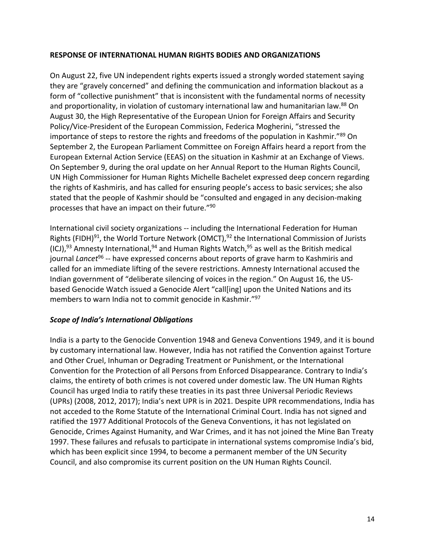### **RESPONSE OF INTERNATIONAL HUMAN RIGHTS BODIES AND ORGANIZATIONS**

On August 22, five UN independent rights experts issued a strongly worded statement saying they are "gravely concerned" and defining the communication and information blackout as a form of "collective punishment" that is inconsistent with the fundamental norms of necessity and proportionality, in violation of customary international law and humanitarian law.<sup>88</sup> On August 30, the High Representative of the European Union for Foreign Affairs and Security Policy/Vice-President of the European Commission, Federica Mogherini, "stressed the importance of steps to restore the rights and freedoms of the population in Kashmir."<sup>89</sup> On September 2, the European Parliament Committee on Foreign Affairs heard a report from the European External Action Service (EEAS) on the situation in Kashmir at an Exchange of Views. On September 9, during the oral update on her Annual Report to the Human Rights Council, UN High Commissioner for Human Rights Michelle Bachelet expressed deep concern regarding the rights of Kashmiris, and has called for ensuring people's access to basic services; she also stated that the people of Kashmir should be "consulted and engaged in any decision-making processes that have an impact on their future."<sup>90</sup>

International civil society organizations -- including the International Federation for Human Rights (FIDH)<sup>91</sup>, the World Torture Network (OMCT),  $92$  the International Commission of Jurists (ICJ),<sup>93</sup> Amnesty International,<sup>94</sup> and Human Rights Watch,<sup>95</sup> as well as the British medical journal *Lancet<sup>96</sup>* -- have expressed concerns about reports of grave harm to Kashmiris and called for an immediate lifting of the severe restrictions. Amnesty International accused the Indian government of "deliberate silencing of voices in the region." On August 16, the USbased Genocide Watch issued a Genocide Alert "call[ing] upon the United Nations and its members to warn India not to commit genocide in Kashmir."<sup>97</sup>

### *Scope of India's International Obligations*

India is a party to the Genocide Convention 1948 and Geneva Conventions 1949, and it is bound by customary international law. However, India has not ratified the Convention against Torture and Other Cruel, Inhuman or Degrading Treatment or Punishment, or the International Convention for the Protection of all Persons from Enforced Disappearance. Contrary to India's claims, the entirety of both crimes is not covered under domestic law. The UN Human Rights Council has urged India to ratify these treaties in its past three Universal Periodic Reviews (UPRs) (2008, 2012, 2017); India's next UPR is in 2021. Despite UPR recommendations, India has not acceded to the Rome Statute of the International Criminal Court. India has not signed and ratified the 1977 Additional Protocols of the Geneva Conventions, it has not legislated on Genocide, Crimes Against Humanity, and War Crimes, and it has not joined the Mine Ban Treaty 1997. These failures and refusals to participate in international systems compromise India's bid, which has been explicit since 1994, to become a permanent member of the UN Security Council, and also compromise its current position on the UN Human Rights Council.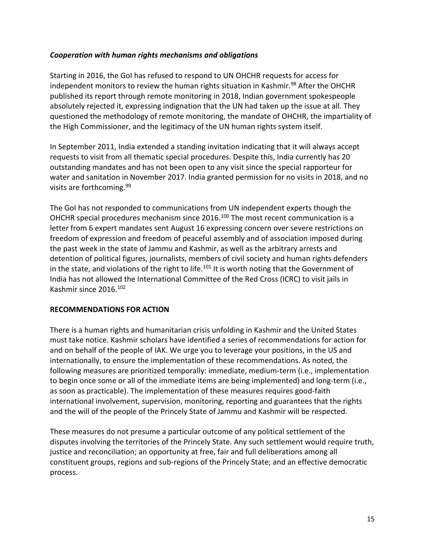### *Cooperation with human rights mechanisms and obligations*

Starting in 2016, the GoI has refused to respond to UN OHCHR requests for access for independent monitors to review the human rights situation in Kashmir.<sup>98</sup> After the OHCHR published its report through remote monitoring in 2018, Indian government spokespeople absolutely rejected it, expressing indignation that the UN had taken up the issue at all. They questioned the methodology of remote monitoring, the mandate of OHCHR, the impartiality of the High Commissioner, and the legitimacy of the UN human rights system itself.

In September 2011, India extended a standing invitation indicating that it will always accept requests to visit from all thematic special procedures. Despite this, India currently has 20 outstanding mandates and has not been open to any visit since the special rapporteur for water and sanitation in November 2017. India granted permission for no visits in 2018, and no visits are forthcoming.<sup>99</sup>

The GoI has not responded to communications from UN independent experts though the OHCHR special procedures mechanism since 2016.<sup>100</sup> The most recent communication is a letter from 6 expert mandates sent August 16 expressing concern over severe restrictions on freedom of expression and freedom of peaceful assembly and of association imposed during the past week in the state of Jammu and Kashmir, as well as the arbitrary arrests and detention of political figures, journalists, members of civil society and human rights defenders in the state, and violations of the right to life.<sup>101</sup> It is worth noting that the Government of India has not allowed the International Committee of the Red Cross (ICRC) to visit jails in Kashmir since 2016.<sup>102</sup>

### **RECOMMENDATIONS FOR ACTION**

There is a human rights and humanitarian crisis unfolding in Kashmir and the United States must take notice. Kashmir scholars have identified a series of recommendations for action for and on behalf of the people of IAK. We urge you to leverage your positions, in the US and internationally, to ensure the implementation of these recommendations. As noted, the following measures are prioritized temporally: immediate, medium-term (i.e., implementation to begin once some or all of the immediate items are being implemented) and long-term (i.e., as soon as practicable). The implementation of these measures requires good-faith international involvement, supervision, monitoring, reporting and guarantees that the rights and the will of the people of the Princely State of Jammu and Kashmir will be respected.

These measures do not presume a particular outcome of any political settlement of the disputes involving the territories of the Princely State. Any such settlement would require truth, justice and reconciliation; an opportunity at free, fair and full deliberations among all constituent groups, regions and sub-regions of the Princely State; and an effective democratic process.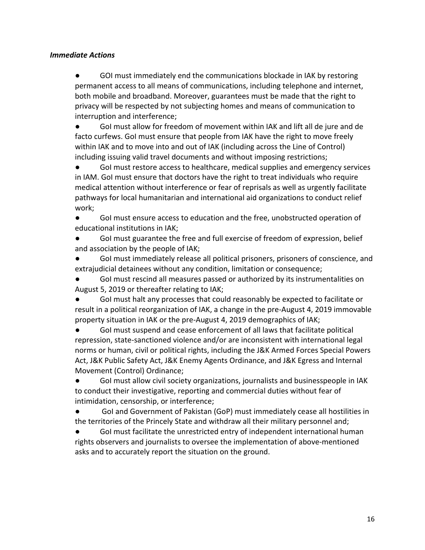### *Immediate Actions*

● GOI must immediately end the communications blockade in IAK by restoring permanent access to all means of communications, including telephone and internet, both mobile and broadband. Moreover, guarantees must be made that the right to privacy will be respected by not subjecting homes and means of communication to interruption and interference;

● GoI must allow for freedom of movement within IAK and lift all de jure and de facto curfews. GoI must ensure that people from IAK have the right to move freely within IAK and to move into and out of IAK (including across the Line of Control) including issuing valid travel documents and without imposing restrictions;

● Gol must restore access to healthcare, medical supplies and emergency services in IAM. GoI must ensure that doctors have the right to treat individuals who require medical attention without interference or fear of reprisals as well as urgently facilitate pathways for local humanitarian and international aid organizations to conduct relief work;

● GoI must ensure access to education and the free, unobstructed operation of educational institutions in IAK;

● GoI must guarantee the free and full exercise of freedom of expression, belief and association by the people of IAK;

GoI must immediately release all political prisoners, prisoners of conscience, and extrajudicial detainees without any condition, limitation or consequence;

GoI must rescind all measures passed or authorized by its instrumentalities on August 5, 2019 or thereafter relating to IAK;

GoI must halt any processes that could reasonably be expected to facilitate or result in a political reorganization of IAK, a change in the pre-August 4, 2019 immovable property situation in IAK or the pre-August 4, 2019 demographics of IAK;

● GoI must suspend and cease enforcement of all laws that facilitate political repression, state-sanctioned violence and/or are inconsistent with international legal norms or human, civil or political rights, including the J&K Armed Forces Special Powers Act, J&K Public Safety Act, J&K Enemy Agents Ordinance, and J&K Egress and Internal Movement (Control) Ordinance;

● GoI must allow civil society organizations, journalists and businesspeople in IAK to conduct their investigative, reporting and commercial duties without fear of intimidation, censorship, or interference;

● GoI and Government of Pakistan (GoP) must immediately cease all hostilities in the territories of the Princely State and withdraw all their military personnel and;

GoI must facilitate the unrestricted entry of independent international human rights observers and journalists to oversee the implementation of above-mentioned asks and to accurately report the situation on the ground.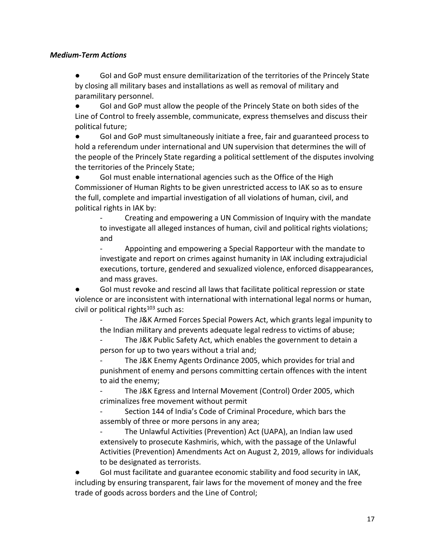### *Medium-Term Actions*

● GoI and GoP must ensure demilitarization of the territories of the Princely State by closing all military bases and installations as well as removal of military and paramilitary personnel.

● GoI and GoP must allow the people of the Princely State on both sides of the Line of Control to freely assemble, communicate, express themselves and discuss their political future;

● Gol and GoP must simultaneously initiate a free, fair and guaranteed process to hold a referendum under international and UN supervision that determines the will of the people of the Princely State regarding a political settlement of the disputes involving the territories of the Princely State;

● GoI must enable international agencies such as the Office of the High Commissioner of Human Rights to be given unrestricted access to IAK so as to ensure the full, complete and impartial investigation of all violations of human, civil, and political rights in IAK by:

- Creating and empowering a UN Commission of Inquiry with the mandate to investigate all alleged instances of human, civil and political rights violations; and

- Appointing and empowering a Special Rapporteur with the mandate to investigate and report on crimes against humanity in IAK including extrajudicial executions, torture, gendered and sexualized violence, enforced disappearances, and mass graves.

GoI must revoke and rescind all laws that facilitate political repression or state violence or are inconsistent with international with international legal norms or human, civil or political rights $103$  such as:

The J&K Armed Forces Special Powers Act, which grants legal impunity to the Indian military and prevents adequate legal redress to victims of abuse;

The J&K Public Safety Act, which enables the government to detain a person for up to two years without a trial and;

The J&K Enemy Agents Ordinance 2005, which provides for trial and punishment of enemy and persons committing certain offences with the intent to aid the enemy;

The J&K Egress and Internal Movement (Control) Order 2005, which criminalizes free movement without permit

Section 144 of India's Code of Criminal Procedure, which bars the assembly of three or more persons in any area;

The Unlawful Activities (Prevention) Act (UAPA), an Indian law used extensively to prosecute Kashmiris, which, with the passage of the Unlawful Activities (Prevention) Amendments Act on August 2, 2019, allows for individuals to be designated as terrorists.

GoI must facilitate and guarantee economic stability and food security in IAK, including by ensuring transparent, fair laws for the movement of money and the free trade of goods across borders and the Line of Control;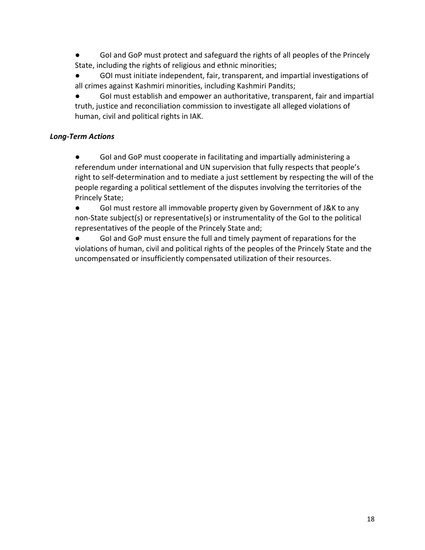GoI and GoP must protect and safeguard the rights of all peoples of the Princely State, including the rights of religious and ethnic minorities;

GOI must initiate independent, fair, transparent, and impartial investigations of all crimes against Kashmiri minorities, including Kashmiri Pandits;

● GoI must establish and empower an authoritative, transparent, fair and impartial truth, justice and reconciliation commission to investigate all alleged violations of human, civil and political rights in IAK.

# *Long-Term Actions*

● Gol and GoP must cooperate in facilitating and impartially administering a referendum under international and UN supervision that fully respects that people's right to self-determination and to mediate a just settlement by respecting the will of the people regarding a political settlement of the disputes involving the territories of the Princely State;

● GoI must restore all immovable property given by Government of J&K to any non-State subject(s) or representative(s) or instrumentality of the GoI to the political representatives of the people of the Princely State and;

● GoI and GoP must ensure the full and timely payment of reparations for the violations of human, civil and political rights of the peoples of the Princely State and the uncompensated or insufficiently compensated utilization of their resources.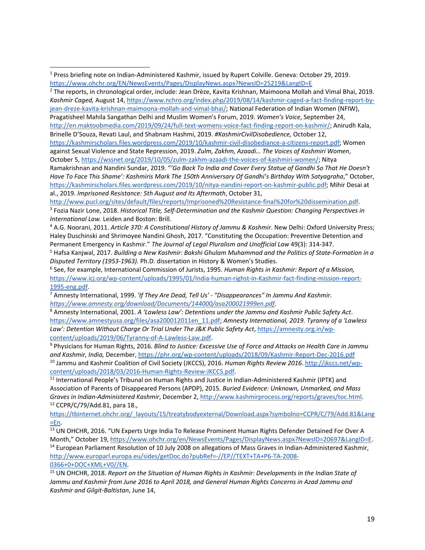<sup>2</sup> The reports, in chronological order, include: Jean Drèze, Kavita Krishnan, Maimoona Mollah and Vimal Bhai, 2019. *Kashmir Caged,* August 14, [https://www.nchro.org/index.php/2019/08/14/kashmir-caged-a-fact-finding-report-by](https://www.nchro.org/index.php/2019/08/14/kashmir-caged-a-fact-finding-report-by-jean-dreze-kavita-krishnan-maimoona-mollah-and-vimal-bhai/)[jean-dreze-kavita-krishnan-maimoona-mollah-and-vimal-bhai/;](https://www.nchro.org/index.php/2019/08/14/kashmir-caged-a-fact-finding-report-by-jean-dreze-kavita-krishnan-maimoona-mollah-and-vimal-bhai/) National Federation of Indian Women (NFIW), Pragatisheel Mahila Sangathan Delhi and Muslim Women's Forum, 2019. *Women's Voice*, September 24, [http://en.maktoobmedia.com/2019/09/24/full-text-womens-voice-fact-finding-report-on-kashmir/;](http://en.maktoobmedia.com/2019/09/24/full-text-womens-voice-fact-finding-report-on-kashmir/) Anirudh Kala, Brinelle D'Souza, Revati Laul, and Shabnam Hashmi, 2019. *#KashmirCivilDisobedience,* October 12,

[https://kashmirscholars.files.wordpress.com/2019/10/kashmir-civil-disobediance-a-citizens-report.pdf;](https://kashmirscholars.files.wordpress.com/2019/10/kashmir-civil-disobediance-a-citizens-report.pdf) Women against Sexual Violence and State Repression, 2019. *Zulm, Zakhm, Azaadi… The Voices of Kashmiri Women*, October 5[, https://wssnet.org/2019/10/05/zulm-zakhm-azaadi-the-voices-of-kashmiri-women/;](https://wssnet.org/2019/10/05/zulm-zakhm-azaadi-the-voices-of-kashmiri-women/) Nitya Ramakrishnan and Nandini Sundar, 2019. "*'Go Back To India and Cover Every Statue of Gandhi So That He Doesn't Have To Face This Shame': Kashmiris Mark The 150th Anniversary Of Gandhi's Birthday With Satyagraha*," October, [https://kashmirscholars.files.wordpress.com/2019/10/nitya-nandini-report-on-kashmir-public.pdf;](https://kashmirscholars.files.wordpress.com/2019/10/nitya-nandini-report-on-kashmir-public.pdf) Mihir Desai at al., 2019. *Imprisoned Resistance: 5th August and Its Aftermath*, October 31,

[http://www.pucl.org/sites/default/files/reports/Imprisoned%20Resistance-final%20for%20dissemination.pdf.](http://www.pucl.org/sites/default/files/reports/Imprisoned%20Resistance-final%20for%20dissemination.pdf)  3 Fozia Nazir Lone, 2018. *Historical Title, Self-Determination and the Kashmir Question: Changing Perspectives in International Law.* Leiden and Boston: Brill.

<sup>4</sup> A.G. Noorani, 2011. *Article 370: A Constitutional History of Jammu & Kashmir*. New Delhi: Oxford University Press; Haley Duschinski and Shrimoyee Nandini Ghosh, 2017. "Constituting the Occupation: Preventive Detention and Permanent Emergency in Kashmir." *The Journal of Legal Pluralism and Unofficial Law* 49(3): 314-347.

<sup>5</sup> Hafsa Kanjwal, 2017. *Building a New Kashmir: Bakshi Ghulam Muhammad and the Politics of State-Formation in a Disputed Territory (1953-1963).* Ph.D. dissertation in History & Women's Studies.

6 See, for example, International Commission of Jurists, 1995. *Human Rights in Kashmir: Report of a Mission,* [https://www.icj.org/wp-content/uploads/1995/01/India-human-righst-in-Kashmir-fact-finding-mission-report-](https://www.icj.org/wp-content/uploads/1995/01/India-human-righst-in-Kashmir-fact-finding-mission-report-1995-eng.pdf)[1995-eng.pdf.](https://www.icj.org/wp-content/uploads/1995/01/India-human-righst-in-Kashmir-fact-finding-mission-report-1995-eng.pdf)

<sup>7</sup> Amnesty International, 1999. *'If They Are Dead, Tell Us' - "Disappearances" In Jammu And Kashmir. [https://www.amnesty.org/download/Documents/144000/asa200021999en.pdf.](https://www.amnesty.org/download/Documents/144000/asa200021999en.pdf)*

<sup>8</sup> Amnesty International, 2001. *A 'Lawless Law': Detentions under the Jammu and Kashmir Public Safety Act*. [https://www.amnestyusa.org/files/asa200012011en\\_11.pdf;](https://www.amnestyusa.org/files/asa200012011en_11.pdf) *Amnesty International, 2019. Tyranny of a 'Lawless Law': Detention Without Charge Or Trial Under The J&K Public Safety Act*, [https://amnesty.org.in/wp](https://amnesty.org.in/wp-content/uploads/2019/06/Tyranny-of-A-Lawless-Law.pdf)[content/uploads/2019/06/Tyranny-of-A-Lawless-Law.pdf.](https://amnesty.org.in/wp-content/uploads/2019/06/Tyranny-of-A-Lawless-Law.pdf)

<sup>9</sup> Physicians for Human Rights, 2016. *Blind to Justice: Excessive Use of Force and Attacks on Health Care in Jammu and Kashmir, India,* December,<https://phr.org/wp-content/uploads/2018/09/Kashmir-Report-Dec-2016.pdf> <sup>10</sup> Jammu and Kashmir Coalition of Civil Society (JKCCS), 2016. *Human Rights Review 2016*[. http://jkccs.net/wp](http://jkccs.net/wp-content/uploads/2018/03/2016-Human-Rights-Review-JKCCS.pdf)[content/uploads/2018/03/2016-Human-Rights-Review-JKCCS.pdf.](http://jkccs.net/wp-content/uploads/2018/03/2016-Human-Rights-Review-JKCCS.pdf)

<sup>11</sup> International People's Tribunal on Human Rights and Justice in Indian-Administered Kashmir (IPTK) and Association of Parents of Disappeared Persons (APDP), 2015. *Buried Evidence: Unknown, Unmarked, and Mass Graves in Indian-Administered Kashmir*, December 2[, http://www.kashmirprocess.org/reports/graves/toc.html.](http://www.kashmirprocess.org/reports/graves/toc.html) <sup>12</sup> CCPR/C/79/Add.81, para 18.,

[https://tbinternet.ohchr.org/\\_layouts/15/treatybodyexternal/Download.aspx?symbolno=CCPR/C/79/Add.81&Lang](https://tbinternet.ohchr.org/_layouts/15/treatybodyexternal/Download.aspx?symbolno=CCPR/C/79/Add.81&Lang=En) [=En.](https://tbinternet.ohchr.org/_layouts/15/treatybodyexternal/Download.aspx?symbolno=CCPR/C/79/Add.81&Lang=En)

<sup>13</sup> UN OHCHR, 2016. "UN Experts Urge India To Release Prominent Human Rights Defender Detained For Over A Month," October 19, [https://www.ohchr.org/en/NewsEvents/Pages/DisplayNews.aspx?NewsID=20697&LangID=E.](https://www.ohchr.org/en/NewsEvents/Pages/DisplayNews.aspx?NewsID=20697&LangID=E) <sup>14</sup> European Parliament Resolution of 10 July 2008 on allegations of Mass Graves in Indian-Administered Kashmir, [http://www.europarl.europa.eu/sides/getDoc.do?pubRef=-//EP//TEXT+TA+P6-TA-2008-](http://www.europarl.europa.eu/sides/getDoc.do?pubRef=-//EP//TEXT+TA+P6-TA-2008-0366+0+DOC+XML+V0//EN) [0366+0+DOC+XML+V0//EN.](http://www.europarl.europa.eu/sides/getDoc.do?pubRef=-//EP//TEXT+TA+P6-TA-2008-0366+0+DOC+XML+V0//EN)

<sup>15</sup> UN OHCHR, 2018. *Report on the Situation of Human Rights in Kashmir: Developments in the Indian State of*  Jammu and Kashmir from June 2016 to April 2018, and General Human Rights Concerns in Azad Jammu and *Kashmir and Gilgit-Baltistan*, June 14,

<sup>1</sup> Press briefing note on Indian-Administered Kashmir, issued by Rupert Colville. Geneva: October 29, 2019. <https://www.ohchr.org/EN/NewsEvents/Pages/DisplayNews.aspx?NewsID=25219&LangID=E>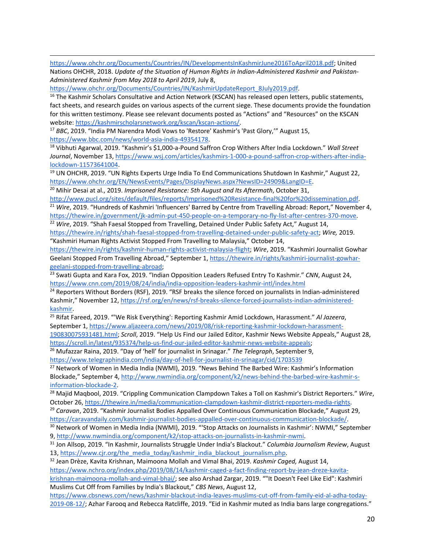[https://www.ohchr.org/Documents/Countries/IN/DevelopmentsInKashmirJune2016ToApril2018.pdf;](https://www.ohchr.org/Documents/Countries/IN/DevelopmentsInKashmirJune2016ToApril2018.pdf) United Nations OHCHR, 2018. *Update of the Situation of Human Rights in Indian-Administered Kashmir and Pakistan-Administered Kashmir from May 2018 to April 2019*, July 8,

[https://www.ohchr.org/Documents/Countries/IN/KashmirUpdateReport\\_8July2019.pdf.](https://www.ohchr.org/Documents/Countries/IN/KashmirUpdateReport_8July2019.pdf)

<sup>16</sup> The Kashmir Scholars Consultative and Action Network (KSCAN) has released open letters, public statements, fact sheets, and research guides on various aspects of the current siege. These documents provide the foundation for this written testimony. Please see relevant documents posted as "Actions" and "Resources" on the KSCAN website: [https://kashmirscholarsnetwork.org/kscan/kscan-actions/.](https://kashmirscholarsnetwork.org/kscan/kscan-actions/)

<sup>17</sup> *BBC*, 2019. "India PM Narendra Modi Vows to 'Restore' Kashmir's 'Past Glory,'" August 15, [https://www.bbc.com/news/world-asia-india-49354178.](https://www.bbc.com/news/world-asia-india-49354178)

<sup>18</sup> Vibhuti Agarwal, 2019. "Kashmir's \$1,000-a-Pound Saffron Crop Withers After India Lockdown." *Wall Street Journal*, November 13[, https://www.wsj.com/articles/kashmirs-1-000-a-pound-saffron-crop-withers-after-india](https://www.wsj.com/articles/kashmirs-1-000-a-pound-saffron-crop-withers-after-india-lockdown-11573641004)[lockdown-11573641004.](https://www.wsj.com/articles/kashmirs-1-000-a-pound-saffron-crop-withers-after-india-lockdown-11573641004)

<sup>19</sup> UN OHCHR, 2019. "UN Rights Experts Urge India To End Communications Shutdown In Kashmir," August 22, [https://www.ohchr.org/EN/NewsEvents/Pages/DisplayNews.aspx?NewsID=24909&LangID=E.](https://www.ohchr.org/EN/NewsEvents/Pages/DisplayNews.aspx?NewsID=24909&LangID=E)

<sup>20</sup> Mihir Desai at al., 2019. *Imprisoned Resistance: 5th August and Its Aftermath*, October 31,

[http://www.pucl.org/sites/default/files/reports/Imprisoned%20Resistance-final%20for%20dissemination.pdf.](http://www.pucl.org/sites/default/files/reports/Imprisoned%20Resistance-final%20for%20dissemination.pdf)  <sup>21</sup> Wire, 2019. "Hundreds of Kashmiri 'Influencers' Barred by Centre from Travelling Abroad: Report," November 4, [https://thewire.in/government/jk-admin-put-450-people-on-a-temporary-no-fly-list-after-centres-370-move.](https://thewire.in/government/jk-admin-put-450-people-on-a-temporary-no-fly-list-after-centres-370-move) <sup>22</sup> Wire, 2019. "Shah Faesal Stopped from Travelling, Detained Under Public Safety Act," August 14,

[https://thewire.in/rights/shah-faesal-stopped-from-travelling-detained-under-public-safety-act;](https://thewire.in/rights/shah-faesal-stopped-from-travelling-detained-under-public-safety-act) *Wire,* 2019. "Kashmiri Human Rights Activist Stopped From Travelling to Malaysia," October 14,

[https://thewire.in/rights/kashmir-human-rights-activist-malaysia-flight;](https://thewire.in/rights/kashmir-human-rights-activist-malaysia-flight) *Wire*, 2019. "Kashmiri Journalist Gowhar Geelani Stopped From Travelling Abroad," September 1, [https://thewire.in/rights/kashmiri-journalist-gowhar](https://thewire.in/rights/kashmiri-journalist-gowhar-geelani-stopped-from-travelling-abroad)[geelani-stopped-from-travelling-abroad;](https://thewire.in/rights/kashmiri-journalist-gowhar-geelani-stopped-from-travelling-abroad)

<sup>23</sup> Swati Gupta and Kara Fox, 2019. "Indian Opposition Leaders Refused Entry To Kashmir." *CNN*, August 24, <https://www.cnn.com/2019/08/24/india/india-opposition-leaders-kashmir-intl/index.html>

<sup>24</sup> Reporters Without Borders (RSF), 2019. "RSF breaks the silence forced on journalists in Indian-administered Kashmir," November 12, [https://rsf.org/en/news/rsf-breaks-silence-forced-journalists-indian-administered](https://rsf.org/en/news/rsf-breaks-silence-forced-journalists-indian-administered-kashmir)[kashmir.](https://rsf.org/en/news/rsf-breaks-silence-forced-journalists-indian-administered-kashmir)

<sup>25</sup> Rifat Fareed, 2019. "'We Risk Everything': Reporting Kashmir Amid Lockdown, Harassment." *Al Jazeera*, September 1, [https://www.aljazeera.com/news/2019/08/risk-reporting-kashmir-lockdown-harassment-](https://www.aljazeera.com/news/2019/08/risk-reporting-kashmir-lockdown-harassment-190830075931481.html)[190830075931481.html;](https://www.aljazeera.com/news/2019/08/risk-reporting-kashmir-lockdown-harassment-190830075931481.html) *Scroll*, 2019. "Help Us Find our Jailed Editor, Kashmir News Website Appeals," August 28,

[https://scroll.in/latest/935374/help-us-find-our-jailed-editor-kashmir-news-website-appeals;](https://scroll.in/latest/935374/help-us-find-our-jailed-editor-kashmir-news-website-appeals)

<sup>26</sup> Mufazzar Raina, 2019. "Day of 'hell' for journalist in Srinagar." *The Telegraph*, September 9, <https://www.telegraphindia.com/india/day-of-hell-for-journalist-in-srinagar/cid/1703539>

<sup>27</sup> Network of Women in Media India (NWMI), 2019. "News Behind The Barbed Wire: Kashmir's Information Blockade," September 4, [http://www.nwmindia.org/component/k2/news-behind-the-barbed-wire-kashmir-s-](http://www.nwmindia.org/component/k2/news-behind-the-barbed-wire-kashmir-s-information-blockade-2)

[information-blockade-2.](http://www.nwmindia.org/component/k2/news-behind-the-barbed-wire-kashmir-s-information-blockade-2)

<sup>28</sup> Majid Maqbool, 2019. "Crippling Communication Clampdown Takes a Toll on Kashmir's District Reporters." *Wire*, October 26[, https://thewire.in/media/communication-clampdown-kashmir-district-reporters-media-rights.](https://thewire.in/media/communication-clampdown-kashmir-district-reporters-media-rights)

<sup>29</sup> *Caravan*, 2019. "Kashmir Journalist Bodies Appalled Over Continuous Communication Blockade," August 29, [https://caravandaily.com/kashmir-journalist-bodies-appalled-over-continuous-communication-blockade/.](https://caravandaily.com/kashmir-journalist-bodies-appalled-over-continuous-communication-blockade/)

<sup>30</sup> Network of Women in Media India (NWMI), 2019. "'Stop Attacks on Journalists in Kashmir': NWMI," September 9, [http://www.nwmindia.org/component/k2/stop-attacks-on-journalists-in-kashmir-nwmi.](http://www.nwmindia.org/component/k2/stop-attacks-on-journalists-in-kashmir-nwmi)

<sup>31</sup> Jon Allsop, 2019. "In Kashmir, Journalists Struggle Under India's Blackout." *Columbia Journalism Review*, August 13, [https://www.cjr.org/the\\_media\\_today/kashmir\\_india\\_blackout\\_journalism.php.](https://www.cjr.org/the_media_today/kashmir_india_blackout_journalism.php)

<sup>32</sup> Jean Drèze, Kavita Krishnan, Maimoona Mollah and Vimal Bhai, 2019. *Kashmir Caged,* August 14, [https://www.nchro.org/index.php/2019/08/14/kashmir-caged-a-fact-finding-report-by-jean-dreze-kavita](https://www.nchro.org/index.php/2019/08/14/kashmir-caged-a-fact-finding-report-by-jean-dreze-kavita-krishnan-maimoona-mollah-and-vimal-bhai/)[krishnan-maimoona-mollah-and-vimal-bhai/](https://www.nchro.org/index.php/2019/08/14/kashmir-caged-a-fact-finding-report-by-jean-dreze-kavita-krishnan-maimoona-mollah-and-vimal-bhai/); see also Arshad Zargar, 2019. ""It Doesn't Feel Like Eid": Kashmiri Muslims Cut Off from Families by India's Blackout," *CBS News*, August 12,

[https://www.cbsnews.com/news/kashmir-blackout-india-leaves-muslims-cut-off-from-family-eid-al-adha-today-](https://www.cbsnews.com/news/kashmir-blackout-india-leaves-muslims-cut-off-from-family-eid-al-adha-today-2019-08-12/)[2019-08-12/;](https://www.cbsnews.com/news/kashmir-blackout-india-leaves-muslims-cut-off-from-family-eid-al-adha-today-2019-08-12/) Azhar Farooq and Rebecca Ratcliffe, 2019. "Eid in Kashmir muted as India bans large congregations."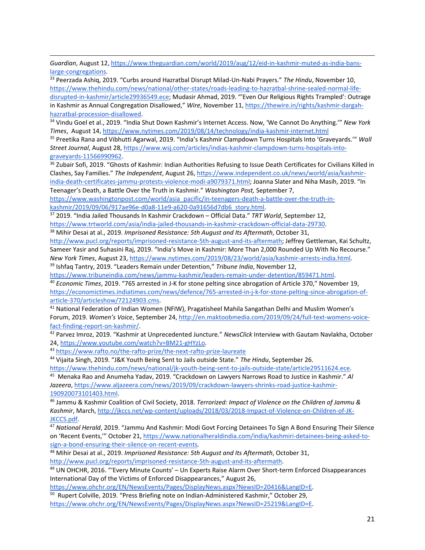*Guardian*, August 12, [https://www.theguardian.com/world/2019/aug/12/eid-in-kashmir-muted-as-india-bans](https://www.theguardian.com/world/2019/aug/12/eid-in-kashmir-muted-as-india-bans-large-congregations)[large-congregations.](https://www.theguardian.com/world/2019/aug/12/eid-in-kashmir-muted-as-india-bans-large-congregations)

<sup>33</sup> Peerzada Ashiq, 2019. "Curbs around Hazratbal Disrupt Milad-Un-Nabi Prayers." *The Hindu*, November 10, [https://www.thehindu.com/news/national/other-states/roads-leading-to-hazratbal-shrine-sealed-normal-life](https://www.thehindu.com/news/national/other-states/roads-leading-to-hazratbal-shrine-sealed-normal-life-disrupted-in-kashmir/article29936549.ece)[disrupted-in-kashmir/article29936549.ece;](https://www.thehindu.com/news/national/other-states/roads-leading-to-hazratbal-shrine-sealed-normal-life-disrupted-in-kashmir/article29936549.ece) Mudasir Ahmad, 2019. "'Even Our Religious Rights Trampled': Outrage in Kashmir as Annual Congregation Disallowed," *Wire*, November 11[, https://thewire.in/rights/kashmir-dargah](https://thewire.in/rights/kashmir-dargah-hazratbal-procession-disallowed)[hazratbal-procession-disallowed.](https://thewire.in/rights/kashmir-dargah-hazratbal-procession-disallowed)

<sup>34</sup> Vindu Goel et al., 2019. "India Shut Down Kashmir's Internet Access. Now, 'We Cannot Do Anything.'" *New York Times*, August 14,<https://www.nytimes.com/2019/08/14/technology/india-kashmir-internet.html>

<sup>35</sup> Preetika Rana and Vibhutti Agarwal, 2019. "India's Kashmir Clampdown Turns Hospitals Into 'Graveyards.'" *Wall Street Journal*, August 28, [https://www.wsj.com/articles/indias-kashmir-clampdown-turns-hospitals-into](https://www.wsj.com/articles/indias-kashmir-clampdown-turns-hospitals-into-graveyards-11566990962)[graveyards-11566990962.](https://www.wsj.com/articles/indias-kashmir-clampdown-turns-hospitals-into-graveyards-11566990962)

<sup>36</sup> Zubair Sofi, 2019. "Ghosts of Kashmir: Indian Authorities Refusing to Issue Death Certificates for Civilians Killed in Clashes, Say Families." *The Independent*, August 26, [https://www.independent.co.uk/news/world/asia/kashmir](https://www.independent.co.uk/news/world/asia/kashmir-india-death-certificates-jammu-protests-violence-modi-a9079371.html)[india-death-certificates-jammu-protests-violence-modi-a9079371.html](https://www.independent.co.uk/news/world/asia/kashmir-india-death-certificates-jammu-protests-violence-modi-a9079371.html); Joanna Slater and Niha Masih, 2019. "In Teenager's Death, a Battle Over the Truth in Kashmir." *Washington Post,* September 7,

[https://www.washingtonpost.com/world/asia\\_pacific/in-teenagers-death-a-battle-over-the-truth-in](https://www.washingtonpost.com/world/asia_pacific/in-teenagers-death-a-battle-over-the-truth-in-kashmir/2019/09/06/917ae96e-d0a8-11e9-a620-0a91656d7db6_story.html)[kashmir/2019/09/06/917ae96e-d0a8-11e9-a620-0a91656d7db6\\_story.html.](https://www.washingtonpost.com/world/asia_pacific/in-teenagers-death-a-battle-over-the-truth-in-kashmir/2019/09/06/917ae96e-d0a8-11e9-a620-0a91656d7db6_story.html)

<sup>37</sup> 2019. "India Jailed Thousands In Kashmir Crackdown – Official Data." *TRT World*, September 12, [https://www.trtworld.com/asia/india-jailed-thousands-in-kashmir-crackdown-official-data-29730.](https://www.trtworld.com/asia/india-jailed-thousands-in-kashmir-crackdown-official-data-29730)

<sup>38</sup> Mihir Desai at al., 2019. *Imprisoned Resistance: 5th August and Its Aftermath*, October 31,

[http://www.pucl.org/reports/imprisoned-resistance-5th-august-and-its-aftermath;](http://www.pucl.org/reports/imprisoned-resistance-5th-august-and-its-aftermath) Jeffrey Gettleman, Kai Schultz, Sameer Yasir and Suhasini Raj, 2019. "India's Move in Kashmir: More Than 2,000 Rounded Up With No Recourse." *New York Times*, August 23, [https://www.nytimes.com/2019/08/23/world/asia/kashmir-arrests-india.html.](https://www.nytimes.com/2019/08/23/world/asia/kashmir-arrests-india.html) <sup>39</sup> Ishfaq Tantry, 2019. "Leaders Remain under Detention," *Tribune India*, November 12,

[https://www.tribuneindia.com/news/jammu-kashmir/leaders-remain-under-detention/859471.html.](https://www.tribuneindia.com/news/jammu-kashmir/leaders-remain-under-detention/859471.html)

<sup>40</sup> *Economic Times*, 2019. "765 arrested in J-K for stone pelting since abrogation of Article 370," November 19, [https://economictimes.indiatimes.com/news/defence/765-arrested-in-j-k-for-stone-pelting-since-abrogation-of](https://economictimes.indiatimes.com/news/defence/765-arrested-in-j-k-for-stone-pelting-since-abrogation-of-article-370/articleshow/72124903.cms)[article-370/articleshow/72124903.cms.](https://economictimes.indiatimes.com/news/defence/765-arrested-in-j-k-for-stone-pelting-since-abrogation-of-article-370/articleshow/72124903.cms)

<sup>41</sup> National Federation of Indian Women (NFIW), Pragatisheel Mahila Sangathan Delhi and Muslim Women's Forum, 2019. *Women's Voice*, September 24[, http://en.maktoobmedia.com/2019/09/24/full-text-womens-voice](http://en.maktoobmedia.com/2019/09/24/full-text-womens-voice-fact-finding-report-on-kashmir/)[fact-finding-report-on-kashmir/.](http://en.maktoobmedia.com/2019/09/24/full-text-womens-voice-fact-finding-report-on-kashmir/)

<sup>42</sup> Parvez Imroz, 2019. "Kashmir at Unprecedented Juncture." *NewsClick* Interview with Gautam Navlakha, October 24, [https://www.youtube.com/watch?v=BM21-gHYzLo.](https://www.youtube.com/watch?v=BM21-gHYzLo)

<sup>43</sup> <https://www.rafto.no/the-rafto-prize/the-next-rafto-prize-laureate>

<sup>44</sup> Vijaita Singh, 2019. "J&K Youth Being Sent to Jails outside State." *The Hindu*, September 26.

[https://www.thehindu.com/news/national/jk-youth-being-sent-to-jails-outside-state/article29511624.ece.](https://www.thehindu.com/news/national/jk-youth-being-sent-to-jails-outside-state/article29511624.ece)

45 Menaka Rao and Anumeha Yadav, 2019. "Crackdown on Lawyers Narrows Road to Justice in Kashmir." *Al Jazeera*, [https://www.aljazeera.com/news/2019/09/crackdown-lawyers-shrinks-road-justice-kashmir-](https://www.aljazeera.com/news/2019/09/crackdown-lawyers-shrinks-road-justice-kashmir-190920073101403.html)[190920073101403.html.](https://www.aljazeera.com/news/2019/09/crackdown-lawyers-shrinks-road-justice-kashmir-190920073101403.html)

<sup>46</sup> Jammu & Kashmir Coalition of Civil Society, 2018. *Terrorized: Impact of Violence on the Children of Jammu & Kashmir*, March, [http://jkccs.net/wp-content/uploads/2018/03/2018-Impact-of-Violence-on-Children-of-JK-](http://jkccs.net/wp-content/uploads/2018/03/2018-Impact-of-Violence-on-Children-of-JK-JKCCS.pdf)[JKCCS.pdf.](http://jkccs.net/wp-content/uploads/2018/03/2018-Impact-of-Violence-on-Children-of-JK-JKCCS.pdf)

<sup>47</sup> *National Herald*, 2019. "Jammu And Kashmir: Modi Govt Forcing Detainees To Sign A Bond Ensuring Their Silence on 'Recent Events,'" October 21, [https://www.nationalheraldindia.com/india/kashmiri-detainees-being-asked-to](https://www.nationalheraldindia.com/india/kashmiri-detainees-being-asked-to-sign-a-bond-ensuring-their-silence-on-recent-events)[sign-a-bond-ensuring-their-silence-on-recent-events](https://www.nationalheraldindia.com/india/kashmiri-detainees-being-asked-to-sign-a-bond-ensuring-their-silence-on-recent-events)*.*

<sup>48</sup> Mihir Desai at al., 2019. *Imprisoned Resistance: 5th August and Its Aftermath*, October 31, [http://www.pucl.org/reports/imprisoned-resistance-5th-august-and-its-aftermath.](http://www.pucl.org/reports/imprisoned-resistance-5th-august-and-its-aftermath)

<sup>49</sup> UN OHCHR, 2016. "'Every Minute Counts' – Un Experts Raise Alarm Over Short-term Enforced Disappearances International Day of the Victims of Enforced Disappearances," August 26,

[https://www.ohchr.org/EN/NewsEvents/Pages/DisplayNews.aspx?NewsID=20416&LangID=E.](https://www.ohchr.org/EN/NewsEvents/Pages/DisplayNews.aspx?NewsID=20416&LangID=E)

<sup>50</sup> Rupert Colville, 2019. "Press Briefing note on Indian-Administered Kashmir," October 29, [https://www.ohchr.org/EN/NewsEvents/Pages/DisplayNews.aspx?NewsID=25219&LangID=E.](https://www.ohchr.org/EN/NewsEvents/Pages/DisplayNews.aspx?NewsID=25219&LangID=E)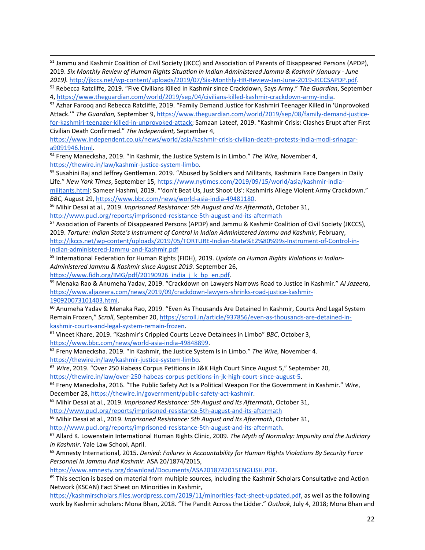51 Jammu and Kashmir Coalition of Civil Society (JKCC) and Association of Parents of Disappeared Persons (APDP), 2019. *Six Monthly Review of Human Rights Situation in Indian Administered Jammu & Kashmir (January - June 2019).* [http://jkccs.net/wp-content/uploads/2019/07/Six-Monthly-HR-Review-Jan-June-2019-JKCCSAPDP.pdf.](http://jkccs.net/wp-content/uploads/2019/07/Six-Monthly-HR-Review-Jan-June-2019-JKCCSAPDP.pdf)

53 Azhar Farooq and Rebecca Ratcliffe, 2019. "Family Demand Justice for Kashmiri Teenager Killed in 'Unprovoked Attack.'" *The Guardian,* September 9, [https://www.theguardian.com/world/2019/sep/08/family-demand-justice](https://www.theguardian.com/world/2019/sep/08/family-demand-justice-for-kashmiri-teenager-killed-in-unprovoked-attack)[for-kashmiri-teenager-killed-in-unprovoked-attack](https://www.theguardian.com/world/2019/sep/08/family-demand-justice-for-kashmiri-teenager-killed-in-unprovoked-attack); Samaan Lateef, 2019. "Kashmir Crisis: Clashes Erupt after First Civilian Death Confirmed." *The Independent,* September 4,

[https://www.independent.co.uk/news/world/asia/kashmir-crisis-civilian-death-protests-india-modi-srinagar](https://www.independent.co.uk/news/world/asia/kashmir-crisis-civilian-death-protests-india-modi-srinagar-a9091946.html)[a9091946.html.](https://www.independent.co.uk/news/world/asia/kashmir-crisis-civilian-death-protests-india-modi-srinagar-a9091946.html)

<sup>54</sup> Freny Manecksha, 2019. "In Kashmir, the Justice System Is in Limbo." *The Wire,* November 4, [https://thewire.in/law/kashmir-justice-system-limbo.](https://thewire.in/law/kashmir-justice-system-limbo)

<sup>55</sup> Susahini Raj and Jeffrey Gentleman. 2019. "Abused by Soldiers and Militants, Kashmiris Face Dangers in Daily Life." *New York Times*, September 15, [https://www.nytimes.com/2019/09/15/world/asia/kashmir-india-](https://www.nytimes.com/2019/09/15/world/asia/kashmir-india-militants.html)

[militants.html](https://www.nytimes.com/2019/09/15/world/asia/kashmir-india-militants.html); Sameer Hashmi, 2019. "'don't Beat Us, Just Shoot Us': Kashmiris Allege Violent Army Crackdown." *BBC*, August 29[, https://www.bbc.com/news/world-asia-india-49481180.](https://www.bbc.com/news/world-asia-india-49481180)

<sup>56</sup> Mihir Desai at al., 2019. *Imprisoned Resistance: 5th August and Its Aftermath*, October 31,

<http://www.pucl.org/reports/imprisoned-resistance-5th-august-and-its-aftermath>

<sup>57</sup> Association of Parents of Disappeared Persons (APDP) and Jammu & Kashmir Coalition of Civil Society (JKCCS), 2019. *Torture: Indian State's Instrument of Control in Indian Administered Jammu and Kashmir*, February, [http://jkccs.net/wp-content/uploads/2019/05/TORTURE-Indian-State%E2%80%99s-Instrument-of-Control-in-](http://jkccs.net/wp-content/uploads/2019/05/TORTURE-Indian-State%E2%80%99s-Instrument-of-Control-in-Indian-administered-Jammu-and-Kashmir.pdf)[Indian-administered-Jammu-and-Kashmir.pdf](http://jkccs.net/wp-content/uploads/2019/05/TORTURE-Indian-State%E2%80%99s-Instrument-of-Control-in-Indian-administered-Jammu-and-Kashmir.pdf)

<sup>58</sup> International Federation for Human Rights (FIDH), 2019. *Update on Human Rights Violations in Indian-Administered Jammu & Kashmir since August 2019.* September 26,

[https://www.fidh.org/IMG/pdf/20190926\\_india\\_j\\_k\\_bp\\_en.pdf.](https://www.fidh.org/IMG/pdf/20190926_india_j_k_bp_en.pdf)

<sup>59</sup> Menaka Rao & Anumeha Yadav, 2019. "Crackdown on Lawyers Narrows Road to Justice in Kashmir." *Al Jazeera*, [https://www.aljazeera.com/news/2019/09/crackdown-lawyers-shrinks-road-justice-kashmir-](https://www.aljazeera.com/news/2019/09/crackdown-lawyers-shrinks-road-justice-kashmir-190920073101403.html)[190920073101403.html.](https://www.aljazeera.com/news/2019/09/crackdown-lawyers-shrinks-road-justice-kashmir-190920073101403.html)

<sup>60</sup> Anumeha Yadav & Menaka Rao, 2019. "Even As Thousands Are Detained In Kashmir, Courts And Legal System Remain Frozen," *Scroll*, September 20, [https://scroll.in/article/937856/even-as-thousands-are-detained-in](https://scroll.in/article/937856/even-as-thousands-are-detained-in-kashmir-courts-and-legal-system-remain-frozen)[kashmir-courts-and-legal-system-remain-frozen.](https://scroll.in/article/937856/even-as-thousands-are-detained-in-kashmir-courts-and-legal-system-remain-frozen)

<sup>61</sup> Vineet Khare, 2019. "Kashmir's Crippled Courts Leave Detainees in Limbo" *BBC*, October 3, [https://www.bbc.com/news/world-asia-india-49848899.](https://www.bbc.com/news/world-asia-india-49848899)

<sup>62</sup> Freny Manecksha. 2019. "In Kashmir, the Justice System Is in Limbo." *The Wire,* November 4. [https://thewire.in/law/kashmir-justice-system-limbo.](https://thewire.in/law/kashmir-justice-system-limbo)

<sup>63</sup> *Wire*, 2019. "Over 250 Habeas Corpus Petitions in J&K High Court Since August 5," September 20, [https://thewire.in/law/over-250-habeas-corpus-petitions-in-jk-high-court-since-august-5.](https://thewire.in/law/over-250-habeas-corpus-petitions-in-jk-high-court-since-august-5)

<sup>64</sup> Freny Manecksha, 2016. "The Public Safety Act Is a Political Weapon For the Government in Kashmir." *Wire*, December 28, [https://thewire.in/government/public-safety-act-kashmir.](https://thewire.in/government/public-safety-act-kashmir)

<sup>65</sup> Mihir Desai at al., 2019. *Imprisoned Resistance: 5th August and Its Aftermath*, October 31,

<http://www.pucl.org/reports/imprisoned-resistance-5th-august-and-its-aftermath>

<sup>66</sup> Mihir Desai at al., 2019. *Imprisoned Resistance: 5th August and Its Aftermath*, October 31, [http://www.pucl.org/reports/imprisoned-resistance-5th-august-and-its-aftermath.](http://www.pucl.org/reports/imprisoned-resistance-5th-august-and-its-aftermath)

<sup>67</sup> Allard K. Lowenstein International Human Rights Clinic, 2009. *The Myth of Normalcy: Impunity and the Judiciary in Kashmir*. Yale Law School, April.

<sup>68</sup> Amnesty International, 2015. *Denied: Failures in Accountability for Human Rights Violations By Security Force Personnel In Jammu And Kashmir.* ASA 20/1874/2015,

[https://www.amnesty.org/download/Documents/ASA2018742015ENGLISH.PDF.](https://www.amnesty.org/download/Documents/ASA2018742015ENGLISH.PDF)

<sup>69</sup> This section is based on material from multiple sources, including the Kashmir Scholars Consultative and Action Network (KSCAN) Fact Sheet on Minorities in Kashmir,

[https://kashmirscholars.files.wordpress.com/2019/11/minorities-fact-sheet-updated.pdf,](https://kashmirscholars.files.wordpress.com/2019/11/minorities-fact-sheet-updated.pdf) as well as the following work by Kashmir scholars: Mona Bhan, 2018. "The Pandit Across the Lidder." *Outlook*, July 4, 2018; Mona Bhan and

<sup>52</sup> Rebecca Ratcliffe, 2019. "Five Civilians Killed in Kashmir since Crackdown, Says Army." *The Guardian*, September 4, [https://www.theguardian.com/world/2019/sep/04/civilians-killed-kashmir-crackdown-army-india.](https://www.theguardian.com/world/2019/sep/04/civilians-killed-kashmir-crackdown-army-india)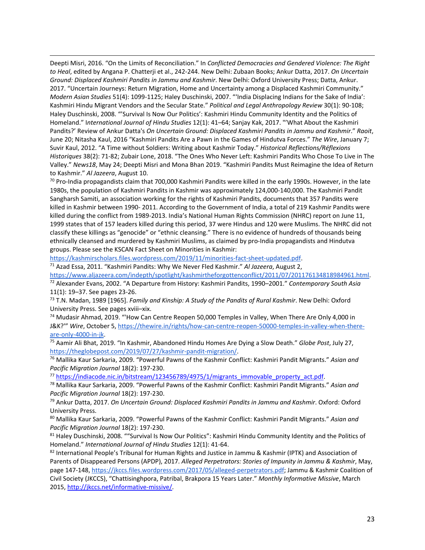Deepti Misri, 2016. "On the Limits of Reconciliation." In *Conflicted Democracies and Gendered Violence: The Right to Heal*, edited by Angana P. Chatterji et al., 242-244. New Delhi: Zubaan Books; Ankur Datta, 2017. *On Uncertain Ground: Displaced Kashmiri Pandits in Jammu and Kashmir*. New Delhi: Oxford University Press; Datta, Ankur. 2017. "Uncertain Journeys: Return Migration, Home and Uncertainty among a Displaced Kashmiri Community." *Modern Asian Studies* 51(4): 1099-1125; Haley Duschinski, 2007. "'India Displacing Indians for the Sake of India': Kashmiri Hindu Migrant Vendors and the Secular State." *Political and Legal Anthropology Review* 30(1): 90-108; Haley Duschinski, 2008. "'Survival Is Now Our Politics': Kashmiri Hindu Community Identity and the Politics of Homeland." I*nternational Journal of Hindu Studies* 12(1): 41–64; Sanjay Kak, 2017. "'What About the Kashmiri Pandits?' Review of Ankur Datta's *On Uncertain Ground: Displaced Kashmiri Pandits in Jammu and Kashmir*." *Raoit*, June 20; Nitasha Kaul, 2016 "Kashmiri Pandits Are a Pawn in the Games of Hindutva Forces." *The Wire*, January 7; Suvir Kaul, 2012. "A Time without Soldiers: Writing about Kashmir Today." *Historical Reflections/Réflexions Historiques* 38(2): 71-82; Zubair Lone, 2018. "The Ones Who Never Left: Kashmiri Pandits Who Chose To Live in The Valley." *News18*, May 24; Deepti Misri and Mona Bhan 2019. "Kashmiri Pandits Must Reimagine the Idea of Return to Kashmir." *Al Jazeera*, August 10.

 $70$  Pro-India propagandists claim that 700,000 Kashmiri Pandits were killed in the early 1990s. However, in the late 1980s, the population of Kashmiri Pandits in Kashmir was approximately 124,000-140,000. The Kashmiri Pandit Sangharsh Samiti, an association working for the rights of Kashmiri Pandits, documents that 357 Pandits were killed in Kashmir between 1990- 2011. According to the Government of India, a total of 219 Kashmir Pandits were killed during the conflict from 1989-2013. India's National Human Rights Commission (NHRC) report on June 11, 1999 states that of 157 leaders killed during this period, 37 were Hindus and 120 were Muslims. The NHRC did not classify these killings as "genocide" or "ethnic cleansing." There is no evidence of hundreds of thousands being ethnically cleansed and murdered by Kashmiri Muslims, as claimed by pro-India propagandists and Hindutva groups. Please see the KSCAN Fact Sheet on Minorities in Kashmir:

[https://kashmirscholars.files.wordpress.com/2019/11/minorities-fact-sheet-updated.pdf.](https://kashmirscholars.files.wordpress.com/2019/11/minorities-fact-sheet-updated.pdf)

<sup>71</sup> Azad Essa, 2011. "Kashmiri Pandits: Why We Never Fled Kashmir." *Al Jazeera*, August 2,

[https://www.aljazeera.com/indepth/spotlight/kashmirtheforgottenconflict/2011/07/201176134818984961.html.](https://www.aljazeera.com/indepth/spotlight/kashmirtheforgottenconflict/2011/07/201176134818984961.html)

<sup>72</sup> Alexander Evans, 2002. "A Departure from History: Kashmiri Pandits, 1990–2001." *Contemporary South Asia* 11(1): 19–37. See pages 23-26.

<sup>73</sup> T.N. Madan, 1989 [1965]. *Family and Kinship: A Study of the Pandits of Rural Kashmir*. New Delhi: Oxford University Press. See pages xviii–xix.

<sup>74</sup> Mudasir Ahmad, 2019. "'How Can Centre Reopen 50,000 Temples in Valley, When There Are Only 4,000 in J&K?'" *Wire*, October 5, [https://thewire.in/rights/how-can-centre-reopen-50000-temples-in-valley-when-there](https://thewire.in/rights/how-can-centre-reopen-50000-temples-in-valley-when-there-are-only-4000-in-jk)[are-only-4000-in-jk.](https://thewire.in/rights/how-can-centre-reopen-50000-temples-in-valley-when-there-are-only-4000-in-jk)

<sup>75</sup> Aamir Ali Bhat, 2019. "In Kashmir, Abandoned Hindu Homes Are Dying a Slow Death." *Globe Post*, July 27, [https://theglobepost.com/2019/07/27/kashmir-pandit-migration/.](https://theglobepost.com/2019/07/27/kashmir-pandit-migration/)

<sup>76</sup> Mallika Kaur Sarkaria, 2009. "Powerful Pawns of the Kashmir Conflict: Kashmiri Pandit Migrants." *Asian and Pacific Migration Journal* 18(2): 197-230.

<sup>77</sup> [https://indiacode.nic.in/bitstream/123456789/4975/1/migrants\\_immovable\\_property\\_act.pdf.](https://indiacode.nic.in/bitstream/123456789/4975/1/migrants_immovable_property_act.pdf)

<sup>78</sup> Mallika Kaur Sarkaria, 2009. "Powerful Pawns of the Kashmir Conflict: Kashmiri Pandit Migrants." *Asian and Pacific Migration Journal* 18(2): 197-230.

<sup>79</sup> Ankur Datta, 2017. *On Uncertain Ground: Displaced Kashmiri Pandits in Jammu and Kashmir*. Oxford: Oxford University Press.

<sup>80</sup> Mallika Kaur Sarkaria, 2009. "Powerful Pawns of the Kashmir Conflict: Kashmiri Pandit Migrants." *Asian and Pacific Migration Journal* 18(2): 197-230.

81 Haley Duschinski, 2008. ""Survival Is Now Our Politics": Kashmiri Hindu Community Identity and the Politics of Homeland." *International Journal of Hindu Studies* 12(1): 41-64.

82 International People's Tribunal for Human Rights and Justice in Jammu & Kashmir (IPTK) and Association of Parents of Disappeared Persons (APDP), 2017. *Alleged Perpetrators: Stories of Impunity in Jammu & Kashmir*, May, page 147-148[, https://jkccs.files.wordpress.com/2017/05/alleged-perpetrators.pdf;](https://jkccs.files.wordpress.com/2017/05/alleged-perpetrators.pdf) Jammu & Kashmir Coalition of Civil Society (JKCCS), "Chattisinghpora, Patribal, Brakpora 15 Years Later." *Monthly Informative Missive*, March 2015, [http://jkccs.net/informative-missive/.](http://jkccs.net/informative-missive/)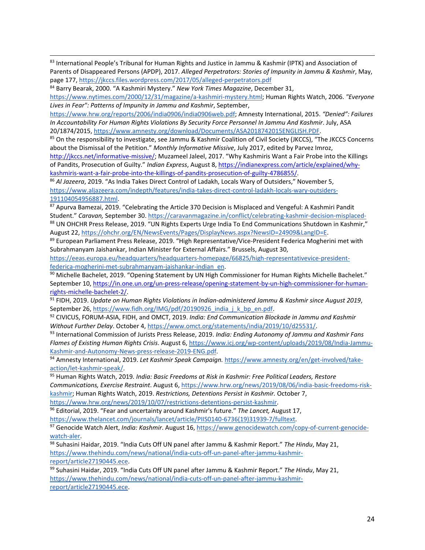83 International People's Tribunal for Human Rights and Justice in Jammu & Kashmir (IPTK) and Association of Parents of Disappeared Persons (APDP), 2017. *Alleged Perpetrators: Stories of Impunity in Jammu & Kashmir*, May, page 177,<https://jkccs.files.wordpress.com/2017/05/alleged-perpetrators.pdf>

<sup>84</sup> Barry Bearak, 2000. "A Kashmiri Mystery." *New York Times Magazine*, December 31,

[https://www.nytimes.com/2000/12/31/magazine/a-kashmiri-mystery.html;](https://www.nytimes.com/2000/12/31/magazine/a-kashmiri-mystery.html) Human Rights Watch, 2006. *"Everyone Lives in Fear": Patterns of Impunity in Jammu and Kashmir*, September,

[https://www.hrw.org/reports/2006/india0906/india0906web.pdf;](https://www.hrw.org/reports/2006/india0906/india0906web.pdf) Amnesty International, 2015. *"Denied": Failures In Accountability For Human Rights Violations By Security Force Personnel In Jammu And Kashmir*. July, ASA 20/1874/2015, [https://www.amnesty.org/download/Documents/ASA2018742015ENGLISH.PDF.](https://www.amnesty.org/download/Documents/ASA2018742015ENGLISH.PDF)

85 On the responsibility to investigate, see Jammu & Kashmir Coalition of Civil Society (JKCCS), "The JKCCS Concerns about the Dismissal of the Petition." *Monthly Informative Missive*, July 2017, edited by Parvez Imroz,

<http://jkccs.net/informative-missive/>; Muzameel Jaleel, 2017. "Why Kashmiris Want a Fair Probe into the Killings of Pandits, Prosecution of Guilty." *Indian Express*, August 8, [https://indianexpress.com/article/explained/why](https://indianexpress.com/article/explained/why-kashmiris-want-a-fair-probe-into-the-killings-of-pandits-prosecution-of-guilty-4786855/)[kashmiris-want-a-fair-probe-into-the-killings-of-pandits-prosecution-of-guilty-4786855/.](https://indianexpress.com/article/explained/why-kashmiris-want-a-fair-probe-into-the-killings-of-pandits-prosecution-of-guilty-4786855/)

<sup>86</sup> *Al Jazeera*, 2019. "As India Takes Direct Control of Ladakh, Locals Wary of Outsiders," November 5, [https://www.aljazeera.com/indepth/features/india-takes-direct-control-ladakh-locals-wary-outsiders-](https://www.aljazeera.com/indepth/features/india-takes-direct-control-ladakh-locals-wary-outsiders-191104054956887.html)[191104054956887.html.](https://www.aljazeera.com/indepth/features/india-takes-direct-control-ladakh-locals-wary-outsiders-191104054956887.html)

87 Apurva Bamezai, 2019. "Celebrating the Article 370 Decision is Misplaced and Vengeful: A Kashmiri Pandit Student." *Caravan,* September 30. <https://caravanmagazine.in/conflict/celebrating-kashmir-decision-misplaced->88 UN OHCHR Press Release, 2019. "UN Rights Experts Urge India To End Communications Shutdown in Kashmir," August 22[, https://ohchr.org/EN/NewsEvents/Pages/DisplayNews.aspx?NewsID=24909&LangID=E.](https://ohchr.org/EN/NewsEvents/Pages/DisplayNews.aspx?NewsID=24909&LangID=E)

89 European Parliament Press Release, 2019. "High Representative/Vice-President Federica Mogherini met with Subrahmanyam Jaishankar, Indian Minister for External Affairs." Brussels, August 30,

[https://eeas.europa.eu/headquarters/headquarters-homepage/66825/high-representativevice-president](https://eeas.europa.eu/headquarters/headquarters-homepage/66825/high-representativevice-president-federica-mogherini-met-subrahmanyam-jaishankar-indian_en)[federica-mogherini-met-subrahmanyam-jaishankar-indian\\_en.](https://eeas.europa.eu/headquarters/headquarters-homepage/66825/high-representativevice-president-federica-mogherini-met-subrahmanyam-jaishankar-indian_en)

90 Michelle Bachelet, 2019. "Opening Statement by UN High Commissioner for Human Rights Michelle Bachelet." September 10, [https://in.one.un.org/un-press-release/opening-statement-by-un-high-commissioner-for-human](https://in.one.un.org/un-press-release/opening-statement-by-un-high-commissioner-for-human-rights-michelle-bachelet-2/)[rights-michelle-bachelet-2/.](https://in.one.un.org/un-press-release/opening-statement-by-un-high-commissioner-for-human-rights-michelle-bachelet-2/)

<sup>91</sup> FIDH, 2019. *Update on Human Rights Violations in Indian-administered Jammu & Kashmir since August 2019*, September 26, [https://www.fidh.org/IMG/pdf/20190926\\_india\\_j\\_k\\_bp\\_en.pdf.](https://www.fidh.org/IMG/pdf/20190926_india_j_k_bp_en.pdf)

<sup>92</sup> CIVICUS, FORUM-ASIA, FIDH, and OMCT, 2019. *India: End Communication Blockade in Jammu and Kashmir Without Further Delay*. October 4[, https://www.omct.org/statements/india/2019/10/d25531/.](https://www.omct.org/statements/india/2019/10/d25531/)

<sup>93</sup> International Commission of Jurists Press Release, 2019. *India: Ending Autonomy of Jammu and Kashmir Fans Flames of Existing Human Rights Crisis*. August 6[, https://www.icj.org/wp-content/uploads/2019/08/India-Jammu-](https://www.icj.org/wp-content/uploads/2019/08/India-Jammu-Kashmir-and-Autonomy-News-press-release-2019-ENG.pdf)[Kashmir-and-Autonomy-News-press-release-2019-ENG.pdf.](https://www.icj.org/wp-content/uploads/2019/08/India-Jammu-Kashmir-and-Autonomy-News-press-release-2019-ENG.pdf)

<sup>94</sup> Amnesty International, 2019. *Let Kashmir Speak Campaign.* [https://www.amnesty.org/en/get-involved/take](https://www.amnesty.org/en/get-involved/take-action/let-kashmir-speak/)[action/let-kashmir-speak/.](https://www.amnesty.org/en/get-involved/take-action/let-kashmir-speak/)

<sup>95</sup> Human Rights Watch, 2019*. India: Basic Freedoms at Risk in Kashmir: Free Political Leaders, Restore Communications, Exercise Restraint*. August 6[, https://www.hrw.org/news/2019/08/06/india-basic-freedoms-risk](https://www.hrw.org/news/2019/08/06/india-basic-freedoms-risk-kashmir)[kashmir;](https://www.hrw.org/news/2019/08/06/india-basic-freedoms-risk-kashmir) Human Rights Watch, 2019. *Restrictions, Detentions Persist in Kashmir.* October 7, [https://www.hrw.org/news/2019/10/07/restrictions-detentions-persist-kashmir.](https://www.hrw.org/news/2019/10/07/restrictions-detentions-persist-kashmir)

<sup>96</sup> Editorial, 2019. "Fear and uncertainty around Kashmir's future." *The Lancet,* August 17,

[https://www.thelancet.com/journals/lancet/article/PIIS0140-6736\(19\)31939-7/fulltext.](https://www.thelancet.com/journals/lancet/article/PIIS0140-6736(19)31939-7/fulltext)

<sup>97</sup> Genocide Watch Alert, *India: Kashmir*. August 16[, https://www.genocidewatch.com/copy-of-current-genocide](https://www.genocidewatch.com/copy-of-current-genocide-watch-aler)[watch-aler.](https://www.genocidewatch.com/copy-of-current-genocide-watch-aler)

<sup>98</sup> Suhasini Haidar, 2019. "India Cuts Off UN panel after Jammu & Kashmir Report." *The Hindu*, May 21, [https://www.thehindu.com/news/national/india-cuts-off-un-panel-after-jammu-kashmir](https://www.thehindu.com/news/national/india-cuts-off-un-panel-after-jammu-kashmir-report/article27190445.ece)[report/article27190445.ece.](https://www.thehindu.com/news/national/india-cuts-off-un-panel-after-jammu-kashmir-report/article27190445.ece)

<sup>99</sup> Suhasini Haidar, 2019. "India Cuts Off UN panel after Jammu & Kashmir Report." *The Hindu*, May 21, [https://www.thehindu.com/news/national/india-cuts-off-un-panel-after-jammu-kashmir](https://www.thehindu.com/news/national/india-cuts-off-un-panel-after-jammu-kashmir-report/article27190445.ece)[report/article27190445.ece.](https://www.thehindu.com/news/national/india-cuts-off-un-panel-after-jammu-kashmir-report/article27190445.ece)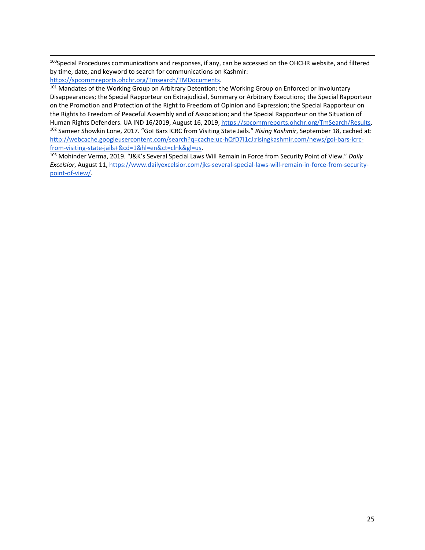<sup>100</sup>Special Procedures communications and responses, if any, can be accessed on the OHCHR website, and filtered by time, date, and keyword to search for communications on Kashmir:

[https://spcommreports.ohchr.org/Tmsearch/TMDocuments.](https://spcommreports.ohchr.org/Tmsearch/TMDocuments)

<sup>101</sup> Mandates of the Working Group on Arbitrary Detention; the Working Group on Enforced or Involuntary Disappearances; the Special Rapporteur on Extrajudicial, Summary or Arbitrary Executions; the Special Rapporteur on the Promotion and Protection of the Right to Freedom of Opinion and Expression; the Special Rapporteur on the Rights to Freedom of Peaceful Assembly and of Association; and the Special Rapporteur on the Situation of Human Rights Defenders. UA IND 16/2019, August 16, 2019, [https://spcommreports.ohchr.org/TmSearch/Results.](https://spcommreports.ohchr.org/TmSearch/Results) <sup>102</sup> Sameer Showkin Lone, 2017. "GoI Bars ICRC from Visiting State Jails." *Rising Kashmir*, September 18, cached at: [http://webcache.googleusercontent.com/search?q=cache:uc-hQfD7I1cJ:risingkashmir.com/news/goi-bars-icrc](http://webcache.googleusercontent.com/search?q=cache:uc-hQfD7I1cJ:risingkashmir.com/news/goi-bars-icrc-from-visiting-state-jails+&cd=1&hl=en&ct=clnk&gl=us)[from-visiting-state-jails+&cd=1&hl=en&ct=clnk&gl=us.](http://webcache.googleusercontent.com/search?q=cache:uc-hQfD7I1cJ:risingkashmir.com/news/goi-bars-icrc-from-visiting-state-jails+&cd=1&hl=en&ct=clnk&gl=us)

<sup>103</sup> Mohinder Verma, 2019. "J&K's Several Special Laws Will Remain in Force from Security Point of View." *Daily Excelsior*, August 11[, https://www.dailyexcelsior.com/jks-several-special-laws-will-remain-in-force-from-security](https://www.dailyexcelsior.com/jks-several-special-laws-will-remain-in-force-from-security-point-of-view/)[point-of-view/.](https://www.dailyexcelsior.com/jks-several-special-laws-will-remain-in-force-from-security-point-of-view/)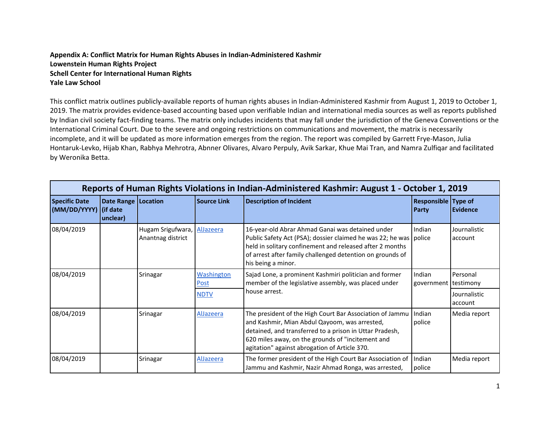**Appendix A: Conflict Matrix for Human Rights Abuses in Indian-Administered Kashmir Lowenstein Human Rights Project Schell Center for International Human Rights Yale Law School**

This conflict matrix outlines publicly-available reports of human rights abuses in Indian-Administered Kashmir from August 1, 2019 to October 1, 2019. The matrix provides evidence-based accounting based upon verifiable Indian and international media sources as well as reports published by Indian civil society fact-finding teams. The matrix only includes incidents that may fall under the jurisdiction of the Geneva Conventions or the International Criminal Court. Due to the severe and ongoing restrictions on communications and movement, the matrix is necessarily incomplete, and it will be updated as more information emerges from the region. The report was compiled by Garrett Frye-Mason, Julia Hontaruk-Levko, Hijab Khan, Rabhya Mehrotra, Abnner Olivares, Alvaro Perpuly, Avik Sarkar, Khue Mai Tran, and Namra Zulfiqar and facilitated by Weronika Betta.

|                                               |                                   |                                        |                                  | Reports of Human Rights Violations in Indian-Administered Kashmir: August 1 - October 1, 2019                                                                                                                                                                              |                                     |                         |
|-----------------------------------------------|-----------------------------------|----------------------------------------|----------------------------------|----------------------------------------------------------------------------------------------------------------------------------------------------------------------------------------------------------------------------------------------------------------------------|-------------------------------------|-------------------------|
| <b>Specific Date</b><br>(MM/DD/YYYY) (if date | Date Range   Location<br>unclear) |                                        | <b>Source Link</b>               | <b>Description of Incident</b>                                                                                                                                                                                                                                             | <b>Responsible Type of</b><br>Party | <b>Evidence</b>         |
| 08/04/2019                                    |                                   | Hugam Srigufwara,<br>Anantnag district | AlJazeera                        | 16-year-old Abrar Ahmad Ganai was detained under<br>Public Safety Act (PSA); dossier claimed he was 22; he was police<br>held in solitary confinement and released after 2 months<br>of arrest after family challenged detention on grounds of<br>his being a minor.       | Indian                              | Journalistic<br>account |
| 08/04/2019                                    |                                   | Srinagar                               | <b>Washington</b><br><b>Post</b> | Sajad Lone, a prominent Kashmiri politician and former<br>member of the legislative assembly, was placed under                                                                                                                                                             | Indian<br>government                | Personal<br>testimony   |
|                                               |                                   |                                        | <b>NDTV</b>                      | house arrest.                                                                                                                                                                                                                                                              |                                     | Journalistic<br>account |
| 08/04/2019                                    |                                   | Srinagar                               | AlJazeera                        | The president of the High Court Bar Association of Jammu<br>and Kashmir, Mian Abdul Qayoom, was arrested,<br>detained, and transferred to a prison in Uttar Pradesh,<br>620 miles away, on the grounds of "incitement and<br>agitation" against abrogation of Article 370. | Indian<br>police                    | Media report            |
| 08/04/2019                                    |                                   | Srinagar                               | <b>AlJazeera</b>                 | The former president of the High Court Bar Association of<br>Jammu and Kashmir, Nazir Ahmad Ronga, was arrested,                                                                                                                                                           | Indian<br>police                    | Media report            |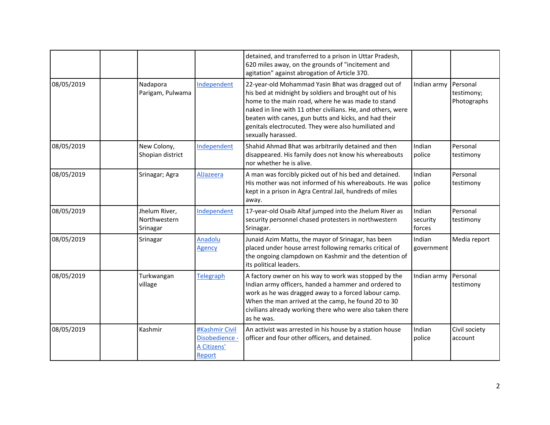|            |                                           |                                                           | detained, and transferred to a prison in Uttar Pradesh,<br>620 miles away, on the grounds of "incitement and<br>agitation" against abrogation of Article 370.                                                                                                                                                                                                           |                              |                                       |
|------------|-------------------------------------------|-----------------------------------------------------------|-------------------------------------------------------------------------------------------------------------------------------------------------------------------------------------------------------------------------------------------------------------------------------------------------------------------------------------------------------------------------|------------------------------|---------------------------------------|
| 08/05/2019 | Nadapora<br>Parigam, Pulwama              | Independent                                               | 22-year-old Mohammad Yasin Bhat was dragged out of<br>his bed at midnight by soldiers and brought out of his<br>home to the main road, where he was made to stand<br>naked in line with 11 other civilians. He, and others, were<br>beaten with canes, gun butts and kicks, and had their<br>genitals electrocuted. They were also humiliated and<br>sexually harassed. | Indian army                  | Personal<br>testimony;<br>Photographs |
| 08/05/2019 | New Colony,<br>Shopian district           | Independent                                               | Shahid Ahmad Bhat was arbitrarily detained and then<br>disappeared. His family does not know his whereabouts<br>nor whether he is alive.                                                                                                                                                                                                                                | Indian<br>police             | Personal<br>testimony                 |
| 08/05/2019 | Srinagar; Agra                            | AlJazeera                                                 | A man was forcibly picked out of his bed and detained.<br>His mother was not informed of his whereabouts. He was<br>kept in a prison in Agra Central Jail, hundreds of miles<br>away.                                                                                                                                                                                   | Indian<br>police             | Personal<br>testimony                 |
| 08/05/2019 | Jhelum River,<br>Northwestern<br>Srinagar | Independent                                               | 17-year-old Osaib Altaf jumped into the Jhelum River as<br>security personnel chased protesters in northwestern<br>Srinagar.                                                                                                                                                                                                                                            | Indian<br>security<br>forces | Personal<br>testimony                 |
| 08/05/2019 | Srinagar                                  | Anadolu<br><b>Agency</b>                                  | Junaid Azim Mattu, the mayor of Srinagar, has been<br>placed under house arrest following remarks critical of<br>the ongoing clampdown on Kashmir and the detention of<br>its political leaders.                                                                                                                                                                        | Indian<br>government         | Media report                          |
| 08/05/2019 | Turkwangan<br>village                     | <b>Telegraph</b>                                          | A factory owner on his way to work was stopped by the<br>Indian army officers, handed a hammer and ordered to<br>work as he was dragged away to a forced labour camp.<br>When the man arrived at the camp, he found 20 to 30<br>civilians already working there who were also taken there<br>as he was.                                                                 | Indian army                  | Personal<br>testimony                 |
| 08/05/2019 | Kashmir                                   | #Kashmir Civil<br>Disobedience -<br>A Citizens'<br>Report | An activist was arrested in his house by a station house<br>officer and four other officers, and detained.                                                                                                                                                                                                                                                              | Indian<br>police             | Civil society<br>account              |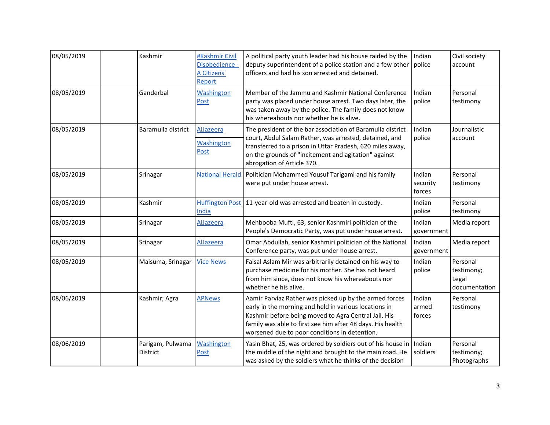| 08/05/2019 | Kashmir                             | #Kashmir Civil<br>Disobedience -<br>A Citizens'<br>Report | A political party youth leader had his house raided by the<br>deputy superintendent of a police station and a few other<br>officers and had his son arrested and detained.                                                                                                             | Indian<br>police             | Civil society<br>account                         |
|------------|-------------------------------------|-----------------------------------------------------------|----------------------------------------------------------------------------------------------------------------------------------------------------------------------------------------------------------------------------------------------------------------------------------------|------------------------------|--------------------------------------------------|
| 08/05/2019 | Ganderbal                           | Washington<br>Post                                        | Member of the Jammu and Kashmir National Conference<br>party was placed under house arrest. Two days later, the<br>was taken away by the police. The family does not know<br>his whereabouts nor whether he is alive.                                                                  | Indian<br>police             | Personal<br>testimony                            |
| 08/05/2019 | Baramulla district                  | AlJazeera<br>Washington<br>Post                           | The president of the bar association of Baramulla district<br>court, Abdul Salam Rather, was arrested, detained, and<br>transferred to a prison in Uttar Pradesh, 620 miles away,<br>on the grounds of "incitement and agitation" against<br>abrogation of Article 370.                | Indian<br>police             | Journalistic<br>account                          |
| 08/05/2019 | Srinagar                            | <b>National Herald</b>                                    | Politician Mohammed Yousuf Tarigami and his family<br>were put under house arrest.                                                                                                                                                                                                     | Indian<br>security<br>forces | Personal<br>testimony                            |
| 08/05/2019 | Kashmir                             | <b>Huffington Post</b><br>India                           | 11-year-old was arrested and beaten in custody.                                                                                                                                                                                                                                        | Indian<br>police             | Personal<br>testimony                            |
| 08/05/2019 | Srinagar                            | AlJazeera                                                 | Mehbooba Mufti, 63, senior Kashmiri politician of the<br>People's Democratic Party, was put under house arrest.                                                                                                                                                                        | Indian<br>government         | Media report                                     |
| 08/05/2019 | Srinagar                            | AlJazeera                                                 | Omar Abdullah, senior Kashmiri politician of the National<br>Conference party, was put under house arrest.                                                                                                                                                                             | Indian<br>government         | Media report                                     |
| 08/05/2019 | Maisuma, Srinagar                   | <b>Vice News</b>                                          | Faisal Aslam Mir was arbitrarily detained on his way to<br>purchase medicine for his mother. She has not heard<br>from him since, does not know his whereabouts nor<br>whether he his alive.                                                                                           | Indian<br>police             | Personal<br>testimony;<br>Legal<br>documentation |
| 08/06/2019 | Kashmir; Agra                       | <b>APNews</b>                                             | Aamir Parviaz Rather was picked up by the armed forces<br>early in the morning and held in various locations in<br>Kashmir before being moved to Agra Central Jail. His<br>family was able to first see him after 48 days. His health<br>worsened due to poor conditions in detention. | Indian<br>armed<br>forces    | Personal<br>testimony                            |
| 08/06/2019 | Parigam, Pulwama<br><b>District</b> | Washington<br>Post                                        | Yasin Bhat, 25, was ordered by soldiers out of his house in<br>the middle of the night and brought to the main road. He<br>was asked by the soldiers what he thinks of the decision                                                                                                    | Indian<br>soldiers           | Personal<br>testimony;<br>Photographs            |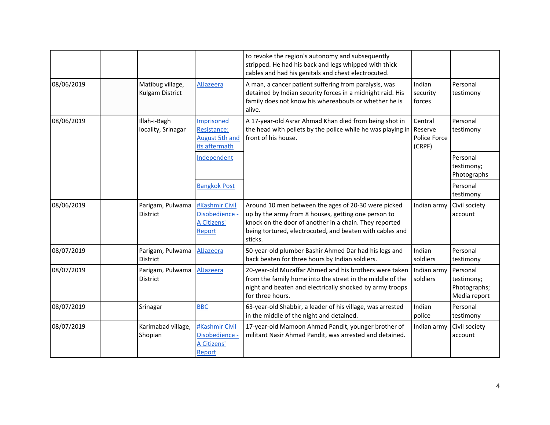|            |                                     |                                                                     | to revoke the region's autonomy and subsequently<br>stripped. He had his back and legs whipped with thick<br>cables and had his genitals and chest electrocuted.                                                                            |                                              |                                                        |
|------------|-------------------------------------|---------------------------------------------------------------------|---------------------------------------------------------------------------------------------------------------------------------------------------------------------------------------------------------------------------------------------|----------------------------------------------|--------------------------------------------------------|
| 08/06/2019 | Matibug village,<br>Kulgam District | AlJazeera                                                           | A man, a cancer patient suffering from paralysis, was<br>detained by Indian security forces in a midnight raid. His<br>family does not know his whereabouts or whether he is<br>alive.                                                      | Indian<br>security<br>forces                 | Personal<br>testimony                                  |
| 08/06/2019 | Illah-i-Bagh<br>locality, Srinagar  | Imprisoned<br>Resistance:<br><b>August 5th and</b><br>its aftermath | A 17-year-old Asrar Ahmad Khan died from being shot in<br>the head with pellets by the police while he was playing in<br>front of his house.                                                                                                | Central<br>Reserve<br>Police Force<br>(CRPF) | Personal<br>testimony                                  |
|            |                                     | Independent                                                         |                                                                                                                                                                                                                                             |                                              | Personal<br>testimony;<br>Photographs                  |
|            |                                     | <b>Bangkok Post</b>                                                 |                                                                                                                                                                                                                                             |                                              | Personal<br>testimony                                  |
| 08/06/2019 | Parigam, Pulwama<br><b>District</b> | #Kashmir Civil<br>Disobedience -<br>A Citizens'<br>Report           | Around 10 men between the ages of 20-30 were picked<br>up by the army from 8 houses, getting one person to<br>knock on the door of another in a chain. They reported<br>being tortured, electrocuted, and beaten with cables and<br>sticks. | Indian army                                  | Civil society<br>account                               |
| 08/07/2019 | Parigam, Pulwama<br><b>District</b> | AlJazeera                                                           | 50-year-old plumber Bashir Ahmed Dar had his legs and<br>back beaten for three hours by Indian soldiers.                                                                                                                                    | Indian<br>soldiers                           | Personal<br>testimony                                  |
| 08/07/2019 | Parigam, Pulwama<br>District        | AlJazeera                                                           | 20-year-old Muzaffar Ahmed and his brothers were taken<br>from the family home into the street in the middle of the<br>night and beaten and electrically shocked by army troops<br>for three hours.                                         | Indian army<br>soldiers                      | Personal<br>testimony;<br>Photographs;<br>Media report |
| 08/07/2019 | Srinagar                            | <b>BBC</b>                                                          | 63-year-old Shabbir, a leader of his village, was arrested<br>in the middle of the night and detained.                                                                                                                                      | Indian<br>police                             | Personal<br>testimony                                  |
| 08/07/2019 | Karimabad village,<br>Shopian       | #Kashmir Civil<br>Disobedience -<br>A Citizens'<br>Report           | 17-year-old Mamoon Ahmad Pandit, younger brother of<br>militant Nasir Ahmad Pandit, was arrested and detained.                                                                                                                              | Indian army                                  | Civil society<br>account                               |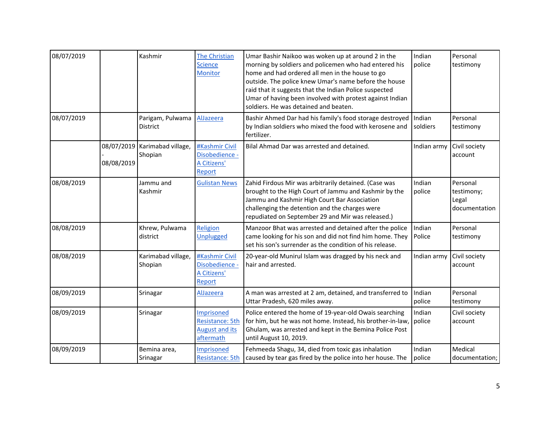| 08/07/2019 |                          | Kashmir                             | The Christian<br><b>Science</b><br><b>Monitor</b>                          | Umar Bashir Naikoo was woken up at around 2 in the<br>morning by soldiers and policemen who had entered his<br>home and had ordered all men in the house to go<br>outside. The police knew Umar's name before the house<br>raid that it suggests that the Indian Police suspected<br>Umar of having been involved with protest against Indian<br>soldiers. He was detained and beaten. | Indian<br>police   | Personal<br>testimony                            |
|------------|--------------------------|-------------------------------------|----------------------------------------------------------------------------|----------------------------------------------------------------------------------------------------------------------------------------------------------------------------------------------------------------------------------------------------------------------------------------------------------------------------------------------------------------------------------------|--------------------|--------------------------------------------------|
| 08/07/2019 |                          | Parigam, Pulwama<br><b>District</b> | AlJazeera                                                                  | Bashir Ahmed Dar had his family's food storage destroyed<br>by Indian soldiers who mixed the food with kerosene and<br>fertilizer.                                                                                                                                                                                                                                                     | Indian<br>soldiers | Personal<br>testimony                            |
|            | 08/07/2019<br>08/08/2019 | Karimabad village,<br>Shopian       | #Kashmir Civil<br>Disobedience -<br>A Citizens'<br>Report                  | Bilal Ahmad Dar was arrested and detained.                                                                                                                                                                                                                                                                                                                                             | Indian army        | Civil society<br>account                         |
| 08/08/2019 |                          | Jammu and<br>Kashmir                | <b>Gulistan News</b>                                                       | Zahid Firdous Mir was arbitrarily detained. (Case was<br>brought to the High Court of Jammu and Kashmir by the<br>Jammu and Kashmir High Court Bar Association<br>challenging the detention and the charges were<br>repudiated on September 29 and Mir was released.)                                                                                                                  | Indian<br>police   | Personal<br>testimony;<br>Legal<br>documentation |
| 08/08/2019 |                          | Khrew, Pulwama<br>district          | Religion<br>Unplugged                                                      | Manzoor Bhat was arrested and detained after the police<br>came looking for his son and did not find him home. They<br>set his son's surrender as the condition of his release.                                                                                                                                                                                                        | Indian<br>Police   | Personal<br>testimony                            |
| 08/08/2019 |                          | Karimabad village,<br>Shopian       | #Kashmir Civil<br>Disobedience -<br>A Citizens'<br>Report                  | 20-year-old Munirul Islam was dragged by his neck and<br>hair and arrested.                                                                                                                                                                                                                                                                                                            | Indian army        | Civil society<br>account                         |
| 08/09/2019 |                          | Srinagar                            | AlJazeera                                                                  | A man was arrested at 2 am, detained, and transferred to<br>Uttar Pradesh, 620 miles away.                                                                                                                                                                                                                                                                                             | Indian<br>police   | Personal<br>testimony                            |
| 08/09/2019 |                          | Srinagar                            | Imprisoned<br><b>Resistance: 5th</b><br><b>August and its</b><br>aftermath | Police entered the home of 19-year-old Owais searching<br>for him, but he was not home. Instead, his brother-in-law,<br>Ghulam, was arrested and kept in the Bemina Police Post<br>until August 10, 2019.                                                                                                                                                                              | Indian<br>police   | Civil society<br>account                         |
| 08/09/2019 |                          | Bemina area,<br>Srinagar            | Imprisoned<br>Resistance: 5th                                              | Fehmeeda Shagu, 34, died from toxic gas inhalation<br>caused by tear gas fired by the police into her house. The                                                                                                                                                                                                                                                                       | Indian<br>police   | Medical<br>documentation;                        |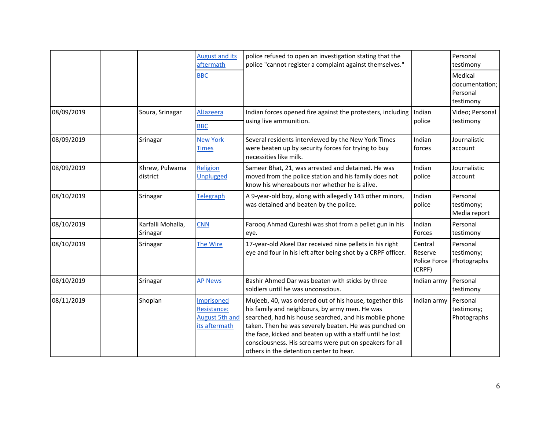|            |                               | <b>August and its</b><br>aftermath                                  | police refused to open an investigation stating that the<br>police "cannot register a complaint against themselves."                                                                                                                                                                                                                                                                            |                                              | Personal<br>testimony                              |
|------------|-------------------------------|---------------------------------------------------------------------|-------------------------------------------------------------------------------------------------------------------------------------------------------------------------------------------------------------------------------------------------------------------------------------------------------------------------------------------------------------------------------------------------|----------------------------------------------|----------------------------------------------------|
|            |                               | <b>BBC</b>                                                          |                                                                                                                                                                                                                                                                                                                                                                                                 |                                              | Medical<br>documentation;<br>Personal<br>testimony |
| 08/09/2019 | Soura, Srinagar               | AlJazeera<br><b>BBC</b>                                             | Indian forces opened fire against the protesters, including<br>using live ammunition.                                                                                                                                                                                                                                                                                                           | Indian<br>police                             | Video; Personal<br>testimony                       |
| 08/09/2019 | Srinagar                      | <b>New York</b><br><b>Times</b>                                     | Several residents interviewed by the New York Times<br>were beaten up by security forces for trying to buy<br>necessities like milk.                                                                                                                                                                                                                                                            | Indian<br>forces                             | Journalistic<br>account                            |
| 08/09/2019 | Khrew, Pulwama<br>district    | Religion<br><b>Unplugged</b>                                        | Sameer Bhat, 21, was arrested and detained. He was<br>moved from the police station and his family does not<br>know his whereabouts nor whether he is alive.                                                                                                                                                                                                                                    | Indian<br>police                             | Journalistic<br>account                            |
| 08/10/2019 | Srinagar                      | <b>Telegraph</b>                                                    | A 9-year-old boy, along with allegedly 143 other minors,<br>was detained and beaten by the police.                                                                                                                                                                                                                                                                                              | Indian<br>police                             | Personal<br>testimony;<br>Media report             |
| 08/10/2019 | Karfalli Mohalla,<br>Srinagar | <b>CNN</b>                                                          | Farooq Ahmad Qureshi was shot from a pellet gun in his<br>eye.                                                                                                                                                                                                                                                                                                                                  | Indian<br>Forces                             | Personal<br>testimony                              |
| 08/10/2019 | Srinagar                      | The Wire                                                            | 17-year-old Akeel Dar received nine pellets in his right<br>eye and four in his left after being shot by a CRPF officer.                                                                                                                                                                                                                                                                        | Central<br>Reserve<br>Police Force<br>(CRPF) | Personal<br>testimony;<br>Photographs              |
| 08/10/2019 | Srinagar                      | <b>AP News</b>                                                      | Bashir Ahmed Dar was beaten with sticks by three<br>soldiers until he was unconscious.                                                                                                                                                                                                                                                                                                          | Indian army                                  | Personal<br>testimony                              |
| 08/11/2019 | Shopian                       | Imprisoned<br>Resistance:<br><b>August 5th and</b><br>its aftermath | Mujeeb, 40, was ordered out of his house, together this<br>his family and neighbours, by army men. He was<br>searched, had his house searched, and his mobile phone<br>taken. Then he was severely beaten. He was punched on<br>the face, kicked and beaten up with a staff until he lost<br>consciousness. His screams were put on speakers for all<br>others in the detention center to hear. | Indian army                                  | Personal<br>testimony;<br>Photographs              |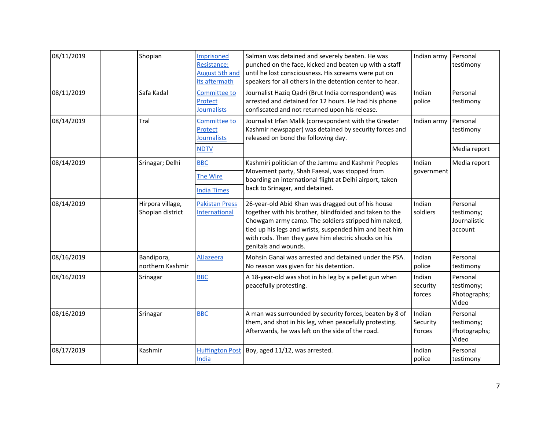| 08/11/2019 | Shopian                              | Imprisoned<br>Resistance:<br><b>August 5th and</b><br>its aftermath | Salman was detained and severely beaten. He was<br>punched on the face, kicked and beaten up with a staff<br>until he lost consciousness. His screams were put on<br>speakers for all others in the detention center to hear.                                                                                   | Indian army                  | Personal<br>testimony                             |
|------------|--------------------------------------|---------------------------------------------------------------------|-----------------------------------------------------------------------------------------------------------------------------------------------------------------------------------------------------------------------------------------------------------------------------------------------------------------|------------------------------|---------------------------------------------------|
| 08/11/2019 | Safa Kadal                           | <b>Committee to</b><br>Protect<br><b>Journalists</b>                | Journalist Haziq Qadri (Brut India correspondent) was<br>arrested and detained for 12 hours. He had his phone<br>confiscated and not returned upon his release.                                                                                                                                                 | Indian<br>police             | Personal<br>testimony                             |
| 08/14/2019 | Tral                                 | <b>Committee to</b><br>Protect<br><b>Journalists</b>                | Journalist Irfan Malik (correspondent with the Greater<br>Kashmir newspaper) was detained by security forces and<br>released on bond the following day.                                                                                                                                                         | Indian army                  | Personal<br>testimony                             |
|            |                                      | <b>NDTV</b>                                                         |                                                                                                                                                                                                                                                                                                                 |                              | Media report                                      |
| 08/14/2019 | Srinagar; Delhi                      | <b>BBC</b><br>The Wire                                              | Kashmiri politician of the Jammu and Kashmir Peoples<br>Movement party, Shah Faesal, was stopped from<br>boarding an international flight at Delhi airport, taken                                                                                                                                               | Indian<br>government         | Media report                                      |
|            |                                      | <b>India Times</b>                                                  | back to Srinagar, and detained.                                                                                                                                                                                                                                                                                 |                              |                                                   |
| 08/14/2019 | Hirpora village,<br>Shopian district | <b>Pakistan Press</b><br>International                              | 26-year-old Abid Khan was dragged out of his house<br>together with his brother, blindfolded and taken to the<br>Chowgam army camp. The soldiers stripped him naked,<br>tied up his legs and wrists, suspended him and beat him<br>with rods. Then they gave him electric shocks on his<br>genitals and wounds. | Indian<br>soldiers           | Personal<br>testimony;<br>Journalistic<br>account |
| 08/16/2019 | Bandipora,<br>northern Kashmir       | AlJazeera                                                           | Mohsin Ganai was arrested and detained under the PSA.<br>No reason was given for his detention.                                                                                                                                                                                                                 | Indian<br>police             | Personal<br>testimony                             |
| 08/16/2019 | Srinagar                             | <b>BBC</b>                                                          | A 18-year-old was shot in his leg by a pellet gun when<br>peacefully protesting.                                                                                                                                                                                                                                | Indian<br>security<br>forces | Personal<br>testimony;<br>Photographs;<br>Video   |
| 08/16/2019 | Srinagar                             | <b>BBC</b>                                                          | A man was surrounded by security forces, beaten by 8 of<br>them, and shot in his leg, when peacefully protesting.<br>Afterwards, he was left on the side of the road.                                                                                                                                           | Indian<br>Security<br>Forces | Personal<br>testimony;<br>Photographs;<br>Video   |
| 08/17/2019 | Kashmir                              | <b>Huffington Post</b><br>India                                     | Boy, aged 11/12, was arrested.                                                                                                                                                                                                                                                                                  | Indian<br>police             | Personal<br>testimony                             |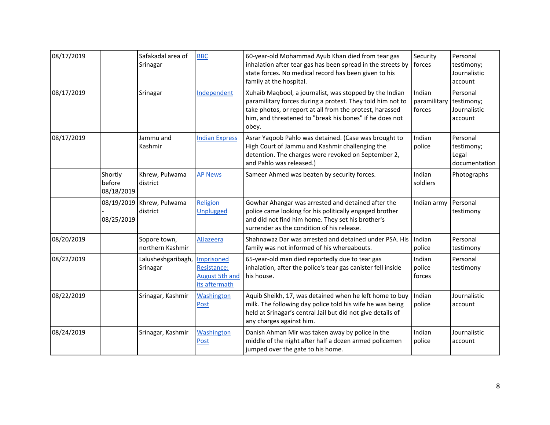| 08/17/2019 |                                 | Safakadal area of<br>Srinagar    | <b>BBC</b>                                                          | 60-year-old Mohammad Ayub Khan died from tear gas<br>inhalation after tear gas has been spread in the streets by<br>state forces. No medical record has been given to his<br>family at the hospital.                                                  | Security<br>forces               | Personal<br>testimony;<br>Journalistic<br>account |
|------------|---------------------------------|----------------------------------|---------------------------------------------------------------------|-------------------------------------------------------------------------------------------------------------------------------------------------------------------------------------------------------------------------------------------------------|----------------------------------|---------------------------------------------------|
| 08/17/2019 |                                 | Srinagar                         | Independent                                                         | Xuhaib Maqbool, a journalist, was stopped by the Indian<br>paramilitary forces during a protest. They told him not to<br>take photos, or report at all from the protest, harassed<br>him, and threatened to "break his bones" if he does not<br>obey. | Indian<br>paramilitary<br>forces | Personal<br>testimony;<br>Journalistic<br>account |
| 08/17/2019 |                                 | Jammu and<br>Kashmir             | <b>Indian Express</b>                                               | Asrar Yaqoob Pahlo was detained. (Case was brought to<br>High Court of Jammu and Kashmir challenging the<br>detention. The charges were revoked on September 2,<br>and Pahlo was released.)                                                           | Indian<br>police                 | Personal<br>testimony;<br>Legal<br>documentation  |
|            | Shortly<br>before<br>08/18/2019 | Khrew, Pulwama<br>district       | <b>AP News</b>                                                      | Sameer Ahmed was beaten by security forces.                                                                                                                                                                                                           | Indian<br>soldiers               | Photographs                                       |
|            | 08/19/2019<br>08/25/2019        | Khrew, Pulwama<br>district       | Religion<br><b>Unplugged</b>                                        | Gowhar Ahangar was arrested and detained after the<br>police came looking for his politically engaged brother<br>and did not find him home. They set his brother's<br>surrender as the condition of his release.                                      | Indian army                      | Personal<br>testimony                             |
| 08/20/2019 |                                 | Sopore town,<br>northern Kashmir | AlJazeera                                                           | Shahnawaz Dar was arrested and detained under PSA. His<br>family was not informed of his whereabouts.                                                                                                                                                 | Indian<br>police                 | Personal<br>testimony                             |
| 08/22/2019 |                                 | Lalusheshgaribagh,<br>Srinagar   | Imprisoned<br>Resistance:<br><b>August 5th and</b><br>its aftermath | 65-year-old man died reportedly due to tear gas<br>inhalation, after the police's tear gas canister fell inside<br>his house.                                                                                                                         | Indian<br>police<br>forces       | Personal<br>testimony                             |
| 08/22/2019 |                                 | Srinagar, Kashmir                | Washington<br>Post                                                  | Aquib Sheikh, 17, was detained when he left home to buy<br>milk. The following day police told his wife he was being<br>held at Srinagar's central Jail but did not give details of<br>any charges against him.                                       | Indian<br>police                 | Journalistic<br>account                           |
| 08/24/2019 |                                 | Srinagar, Kashmir                | Washington<br>Post                                                  | Danish Ahman Mir was taken away by police in the<br>middle of the night after half a dozen armed policemen<br>jumped over the gate to his home.                                                                                                       | Indian<br>police                 | Journalistic<br>account                           |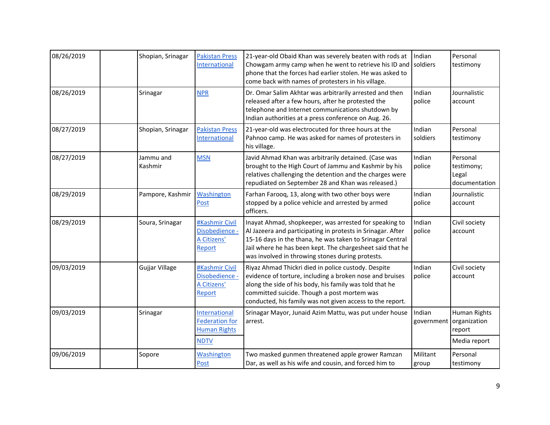| 08/26/2019 | Shopian, Srinagar    | <b>Pakistan Press</b><br>International                        | 21-year-old Obaid Khan was severely beaten with rods at<br>Chowgam army camp when he went to retrieve his ID and<br>phone that the forces had earlier stolen. He was asked to<br>come back with names of protesters in his village.                                                                 | Indian<br>soldiers   | Personal<br>testimony                            |
|------------|----------------------|---------------------------------------------------------------|-----------------------------------------------------------------------------------------------------------------------------------------------------------------------------------------------------------------------------------------------------------------------------------------------------|----------------------|--------------------------------------------------|
| 08/26/2019 | Srinagar             | <b>NPR</b>                                                    | Dr. Omar Salim Akhtar was arbitrarily arrested and then<br>released after a few hours, after he protested the<br>telephone and Internet communications shutdown by<br>Indian authorities at a press conference on Aug. 26.                                                                          | Indian<br>police     | Journalistic<br>account                          |
| 08/27/2019 | Shopian, Srinagar    | <b>Pakistan Press</b><br>International                        | 21-year-old was electrocuted for three hours at the<br>Pahnoo camp. He was asked for names of protesters in<br>his village.                                                                                                                                                                         | Indian<br>soldiers   | Personal<br>testimony                            |
| 08/27/2019 | Jammu and<br>Kashmir | <b>MSN</b>                                                    | Javid Ahmad Khan was arbitrarily detained. (Case was<br>brought to the High Court of Jammu and Kashmir by his<br>relatives challenging the detention and the charges were<br>repudiated on September 28 and Khan was released.)                                                                     | Indian<br>police     | Personal<br>testimony;<br>Legal<br>documentation |
| 08/29/2019 | Pampore, Kashmir     | <b>Washington</b><br>Post                                     | Farhan Farooq, 13, along with two other boys were<br>stopped by a police vehicle and arrested by armed<br>officers.                                                                                                                                                                                 | Indian<br>police     | Journalistic<br>account                          |
| 08/29/2019 | Soura, Srinagar      | #Kashmir Civil<br>Disobedience -<br>A Citizens'<br>Report     | Inayat Ahmad, shopkeeper, was arrested for speaking to<br>Al Jazeera and participating in protests in Srinagar. After<br>15-16 days in the thana, he was taken to Srinagar Central<br>Jail where he has been kept. The chargesheet said that he<br>was involved in throwing stones during protests. | Indian<br>police     | Civil society<br>account                         |
| 09/03/2019 | Gujjar Village       | #Kashmir Civil<br>Disobedience -<br>A Citizens'<br>Report     | Riyaz Ahmad Thickri died in police custody. Despite<br>evidence of torture, including a broken nose and bruises<br>along the side of his body, his family was told that he<br>committed suicide. Though a post mortem was<br>conducted, his family was not given access to the report.              | Indian<br>police     | Civil society<br>account                         |
| 09/03/2019 | Srinagar             | International<br><b>Federation for</b><br><b>Human Rights</b> | Srinagar Mayor, Junaid Azim Mattu, was put under house<br>arrest.                                                                                                                                                                                                                                   | Indian<br>government | Human Rights<br>organization<br>report           |
|            |                      | <b>NDTV</b>                                                   |                                                                                                                                                                                                                                                                                                     |                      | Media report                                     |
| 09/06/2019 | Sopore               | <b>Washington</b><br>Post                                     | Two masked gunmen threatened apple grower Ramzan<br>Dar, as well as his wife and cousin, and forced him to                                                                                                                                                                                          | Militant<br>group    | Personal<br>testimony                            |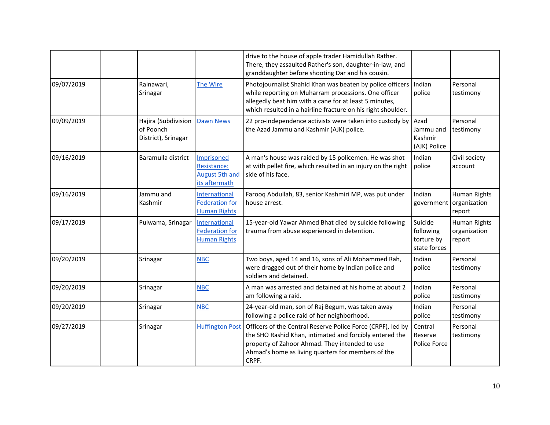|            |                                                         |                                                                     | drive to the house of apple trader Hamidullah Rather.<br>There, they assaulted Rather's son, daughter-in-law, and<br>granddaughter before shooting Dar and his cousin.                                                                      |                                                    |                                        |
|------------|---------------------------------------------------------|---------------------------------------------------------------------|---------------------------------------------------------------------------------------------------------------------------------------------------------------------------------------------------------------------------------------------|----------------------------------------------------|----------------------------------------|
| 09/07/2019 | Rainawari,<br>Srinagar                                  | The Wire                                                            | Photojournalist Shahid Khan was beaten by police officers<br>while reporting on Muharram processions. One officer<br>allegedly beat him with a cane for at least 5 minutes,<br>which resulted in a hairline fracture on his right shoulder. | Indian<br>police                                   | Personal<br>testimony                  |
| 09/09/2019 | Hajira (Subdivision<br>of Poonch<br>District), Srinagar | <b>Dawn News</b>                                                    | 22 pro-independence activists were taken into custody by<br>the Azad Jammu and Kashmir (AJK) police.                                                                                                                                        | Azad<br>Jammu and<br>Kashmir<br>(AJK) Police       | Personal<br>testimony                  |
| 09/16/2019 | Baramulla district                                      | Imprisoned<br>Resistance:<br><b>August 5th and</b><br>its aftermath | A man's house was raided by 15 policemen. He was shot<br>at with pellet fire, which resulted in an injury on the right<br>side of his face.                                                                                                 | Indian<br>police                                   | Civil society<br>account               |
| 09/16/2019 | Jammu and<br>Kashmir                                    | International<br><b>Federation for</b><br><b>Human Rights</b>       | Farooq Abdullah, 83, senior Kashmiri MP, was put under<br>house arrest.                                                                                                                                                                     | Indian<br>government                               | Human Rights<br>organization<br>report |
| 09/17/2019 | Pulwama, Srinagar                                       | International<br><b>Federation for</b><br><b>Human Rights</b>       | 15-year-old Yawar Ahmed Bhat died by suicide following<br>trauma from abuse experienced in detention.                                                                                                                                       | Suicide<br>following<br>torture by<br>state forces | Human Rights<br>organization<br>report |
| 09/20/2019 | Srinagar                                                | <b>NBC</b>                                                          | Two boys, aged 14 and 16, sons of Ali Mohammed Rah,<br>were dragged out of their home by Indian police and<br>soldiers and detained.                                                                                                        | Indian<br>police                                   | Personal<br>testimony                  |
| 09/20/2019 | Srinagar                                                | <b>NBC</b>                                                          | A man was arrested and detained at his home at about 2<br>am following a raid.                                                                                                                                                              | Indian<br>police                                   | Personal<br>testimony                  |
| 09/20/2019 | Srinagar                                                | <b>NBC</b>                                                          | 24-year-old man, son of Raj Begum, was taken away<br>following a police raid of her neighborhood.                                                                                                                                           | Indian<br>police                                   | Personal<br>testimony                  |
| 09/27/2019 | Srinagar                                                | <b>Huffington Post</b>                                              | Officers of the Central Reserve Police Force (CRPF), led by<br>the SHO Rashid Khan, intimated and forcibly entered the<br>property of Zahoor Ahmad. They intended to use<br>Ahmad's home as living quarters for members of the<br>CRPF.     | Central<br>Reserve<br>Police Force                 | Personal<br>testimony                  |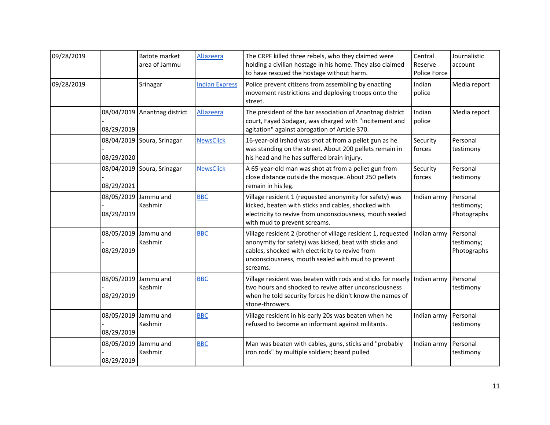| 09/28/2019 |            | <b>Batote market</b><br>area of Jammu | AlJazeera             | The CRPF killed three rebels, who they claimed were<br>holding a civilian hostage in his home. They also claimed<br>to have rescued the hostage without harm.                                                                              | Central<br>Reserve<br>Police Force | Journalistic<br>account               |
|------------|------------|---------------------------------------|-----------------------|--------------------------------------------------------------------------------------------------------------------------------------------------------------------------------------------------------------------------------------------|------------------------------------|---------------------------------------|
| 09/28/2019 |            | Srinagar                              | <b>Indian Express</b> | Police prevent citizens from assembling by enacting<br>movement restrictions and deploying troops onto the<br>street.                                                                                                                      | Indian<br>police                   | Media report                          |
|            | 08/29/2019 | 08/04/2019 Anantnag district          | AlJazeera             | The president of the bar association of Anantnag district<br>court, Fayad Sodagar, was charged with "incitement and<br>agitation" against abrogation of Article 370.                                                                       | Indian<br>police                   | Media report                          |
|            | 08/29/2020 | 08/04/2019 Soura, Srinagar            | <b>NewsClick</b>      | 16-year-old Irshad was shot at from a pellet gun as he<br>was standing on the street. About 200 pellets remain in<br>his head and he has suffered brain injury.                                                                            | Security<br>forces                 | Personal<br>testimony                 |
|            | 08/29/2021 | 08/04/2019 Soura, Srinagar            | <b>NewsClick</b>      | A 65-year-old man was shot at from a pellet gun from<br>close distance outside the mosque. About 250 pellets<br>remain in his leg.                                                                                                         | Security<br>forces                 | Personal<br>testimony                 |
|            | 08/29/2019 | 08/05/2019 Jammu and<br>Kashmir       | <b>BBC</b>            | Village resident 1 (requested anonymity for safety) was<br>kicked, beaten with sticks and cables, shocked with<br>electricity to revive from unconsciousness, mouth sealed<br>with mud to prevent screams.                                 | Indian army                        | Personal<br>testimony;<br>Photographs |
|            | 08/29/2019 | 08/05/2019 Jammu and<br>Kashmir       | <b>BBC</b>            | Village resident 2 (brother of village resident 1, requested<br>anonymity for safety) was kicked, beat with sticks and<br>cables, shocked with electricity to revive from<br>unconsciousness, mouth sealed with mud to prevent<br>screams. | Indian army                        | Personal<br>testimony;<br>Photographs |
|            | 08/29/2019 | 08/05/2019 Jammu and<br>Kashmir       | <b>BBC</b>            | Village resident was beaten with rods and sticks for nearly Indian army<br>two hours and shocked to revive after unconsciousness<br>when he told security forces he didn't know the names of<br>stone-throwers.                            |                                    | Personal<br>testimony                 |
|            | 08/29/2019 | 08/05/2019 Jammu and<br>Kashmir       | <b>BBC</b>            | Village resident in his early 20s was beaten when he<br>refused to become an informant against militants.                                                                                                                                  | Indian army                        | Personal<br>testimony                 |
|            | 08/29/2019 | 08/05/2019 Jammu and<br>Kashmir       | <b>BBC</b>            | Man was beaten with cables, guns, sticks and "probably<br>iron rods" by multiple soldiers; beard pulled                                                                                                                                    | Indian army                        | Personal<br>testimony                 |